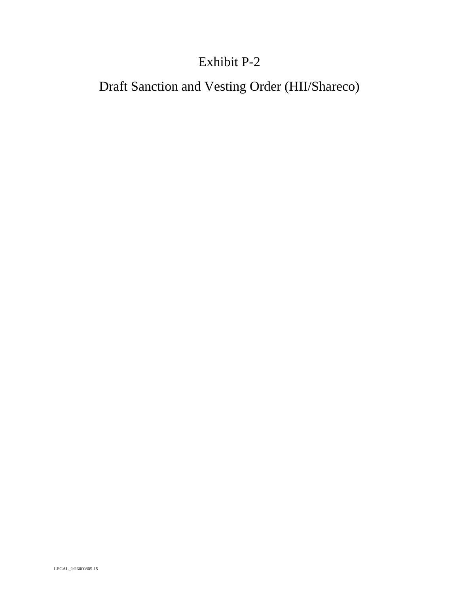# Exhibit P-2

Draft Sanction and Vesting Order (HII/Shareco)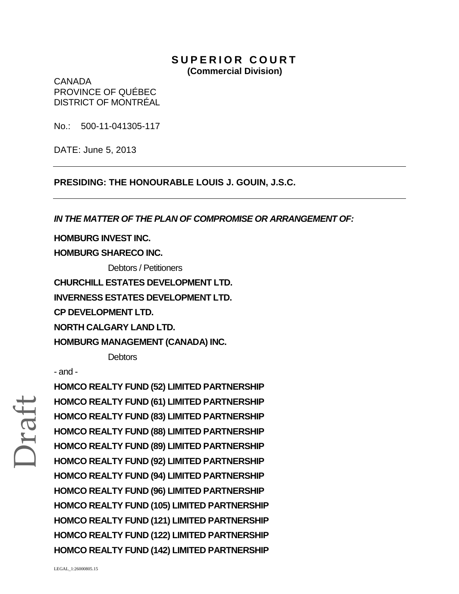### **SUPERIOR COURT (Commercial Division)**

CANADA PROVINCE OF QUÉBEC DISTRICT OF MONTRÉAL

No.: 500-11-041305-117

DATE: June 5, 2013

**PRESIDING: THE HONOURABLE LOUIS J. GOUIN, J.S.C.** 

*IN THE MATTER OF THE PLAN OF COMPROMISE OR ARRANGEMENT OF:*

**HOMBURG INVEST INC.**

**HOMBURG SHARECO INC.**

Debtors / Petitioners

**CHURCHILL ESTATES DEVELOPMENT LTD.**

**INVERNESS ESTATES DEVELOPMENT LTD.**

**CP DEVELOPMENT LTD.**

**NORTH CALGARY LAND LTD.**

**HOMBURG MANAGEMENT (CANADA) INC.** 

**Debtors** 

- and -

Draft

**HOMCO REALTY FUND (52) LIMITED PARTNERSHIP HOMCO REALTY FUND (61) LIMITED PARTNERSHIP HOMCO REALTY FUND (83) LIMITED PARTNERSHIP HOMCO REALTY FUND (88) LIMITED PARTNERSHIP HOMCO REALTY FUND (89) LIMITED PARTNERSHIP HOMCO REALTY FUND (92) LIMITED PARTNERSHIP HOMCO REALTY FUND (94) LIMITED PARTNERSHIP HOMCO REALTY FUND (96) LIMITED PARTNERSHIP HOMCO REALTY FUND (105) LIMITED PARTNERSHIP HOMCO REALTY FUND (121) LIMITED PARTNERSHIP HOMCO REALTY FUND (122) LIMITED PARTNERSHIP HOMCO REALTY FUND (142) LIMITED PARTNERSHIP**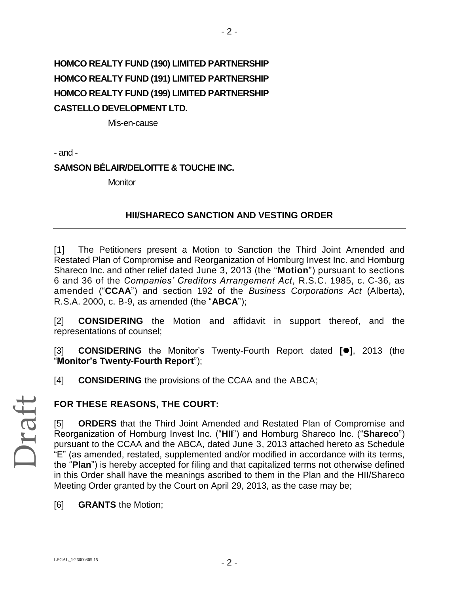# **HOMCO REALTY FUND (190) LIMITED PARTNERSHIP HOMCO REALTY FUND (191) LIMITED PARTNERSHIP HOMCO REALTY FUND (199) LIMITED PARTNERSHIP CASTELLO DEVELOPMENT LTD.**

Mis-en-cause

- and -

### **SAMSON BÉLAIR/DELOITTE & TOUCHE INC.**

**Monitor** 

### **HII/SHARECO SANCTION AND VESTING ORDER**

 $-2 -$ 

[1] The Petitioners present a Motion to Sanction the Third Joint Amended and Restated Plan of Compromise and Reorganization of Homburg Invest Inc. and Homburg Shareco Inc. and other relief dated June 3, 2013 (the "**Motion**") pursuant to sections 6 and 36 of the *Companies' Creditors Arrangement Act*, R.S.C. 1985, c. C-36, as amended ("**CCAA**") and section 192 of the *Business Corporations Act* (Alberta), R.S.A. 2000, c. B-9, as amended (the "**ABCA**");

[2] **CONSIDERING** the Motion and affidavit in support thereof, and the representations of counsel;

[3] **CONSIDERING** the Monitor's Twenty-Fourth Report dated **[]**, 2013 (the "**Monitor's Twenty-Fourth Report**");

[4] **CONSIDERING** the provisions of the CCAA and the ABCA;

### **FOR THESE REASONS, THE COURT:**

[5] **ORDERS** that the Third Joint Amended and Restated Plan of Compromise and Reorganization of Homburg Invest Inc. ("**HII**") and Homburg Shareco Inc. ("**Shareco**") pursuant to the CCAA and the ABCA, dated June 3, 2013 attached hereto as Schedule "E" (as amended, restated, supplemented and/or modified in accordance with its terms, the "**Plan**") is hereby accepted for filing and that capitalized terms not otherwise defined in this Order shall have the meanings ascribed to them in the Plan and the HII/Shareco Meeting Order granted by the Court on April 29, 2013, as the case may be;

[6] **GRANTS** the Motion;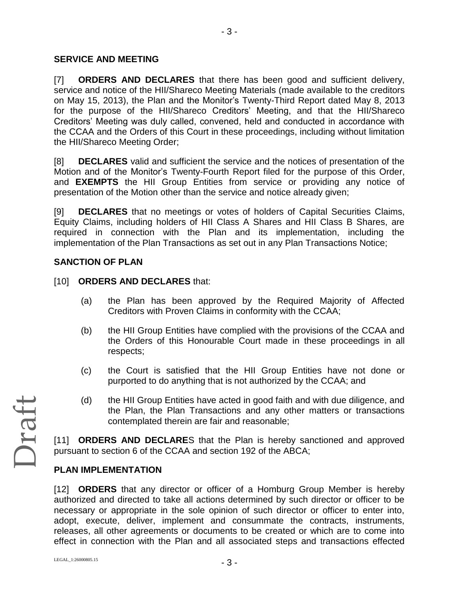### **SERVICE AND MEETING**

[7] **ORDERS AND DECLARES** that there has been good and sufficient delivery, service and notice of the HII/Shareco Meeting Materials (made available to the creditors on May 15, 2013), the Plan and the Monitor's Twenty-Third Report dated May 8, 2013 for the purpose of the HII/Shareco Creditors' Meeting, and that the HII/Shareco Creditors' Meeting was duly called, convened, held and conducted in accordance with the CCAA and the Orders of this Court in these proceedings, including without limitation the HII/Shareco Meeting Order;

[8] **DECLARES** valid and sufficient the service and the notices of presentation of the Motion and of the Monitor's Twenty-Fourth Report filed for the purpose of this Order, and **EXEMPTS** the HII Group Entities from service or providing any notice of presentation of the Motion other than the service and notice already given;

[9] **DECLARES** that no meetings or votes of holders of Capital Securities Claims, Equity Claims, including holders of HII Class A Shares and HII Class B Shares, are required in connection with the Plan and its implementation, including the implementation of the Plan Transactions as set out in any Plan Transactions Notice;

### **SANCTION OF PLAN**

- [10] **ORDERS AND DECLARES** that:
	- (a) the Plan has been approved by the Required Majority of Affected Creditors with Proven Claims in conformity with the CCAA;
	- (b) the HII Group Entities have complied with the provisions of the CCAA and the Orders of this Honourable Court made in these proceedings in all respects;
	- (c) the Court is satisfied that the HII Group Entities have not done or purported to do anything that is not authorized by the CCAA; and
	- (d) the HII Group Entities have acted in good faith and with due diligence, and the Plan, the Plan Transactions and any other matters or transactions contemplated therein are fair and reasonable;

[11] **ORDERS AND DECLARE**S that the Plan is hereby sanctioned and approved pursuant to section 6 of the CCAA and section 192 of the ABCA;

### **PLAN IMPLEMENTATION**

[12] **ORDERS** that any director or officer of a Homburg Group Member is hereby authorized and directed to take all actions determined by such director or officer to be necessary or appropriate in the sole opinion of such director or officer to enter into, adopt, execute, deliver, implement and consummate the contracts, instruments, releases, all other agreements or documents to be created or which are to come into effect in connection with the Plan and all associated steps and transactions effected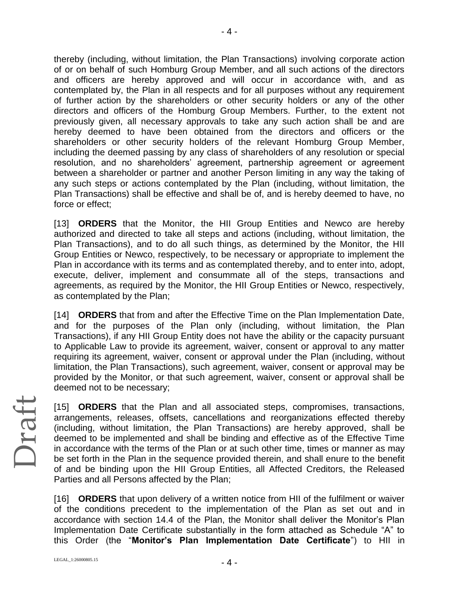thereby (including, without limitation, the Plan Transactions) involving corporate action of or on behalf of such Homburg Group Member, and all such actions of the directors and officers are hereby approved and will occur in accordance with, and as contemplated by, the Plan in all respects and for all purposes without any requirement of further action by the shareholders or other security holders or any of the other directors and officers of the Homburg Group Members. Further, to the extent not previously given, all necessary approvals to take any such action shall be and are hereby deemed to have been obtained from the directors and officers or the shareholders or other security holders of the relevant Homburg Group Member, including the deemed passing by any class of shareholders of any resolution or special resolution, and no shareholders' agreement, partnership agreement or agreement between a shareholder or partner and another Person limiting in any way the taking of any such steps or actions contemplated by the Plan (including, without limitation, the Plan Transactions) shall be effective and shall be of, and is hereby deemed to have, no force or effect;

[13] **ORDERS** that the Monitor, the HII Group Entities and Newco are hereby authorized and directed to take all steps and actions (including, without limitation, the Plan Transactions), and to do all such things, as determined by the Monitor, the HII Group Entities or Newco, respectively, to be necessary or appropriate to implement the Plan in accordance with its terms and as contemplated thereby, and to enter into, adopt, execute, deliver, implement and consummate all of the steps, transactions and agreements, as required by the Monitor, the HII Group Entities or Newco, respectively, as contemplated by the Plan;

[14] **ORDERS** that from and after the Effective Time on the Plan Implementation Date, and for the purposes of the Plan only (including, without limitation, the Plan Transactions), if any HII Group Entity does not have the ability or the capacity pursuant to Applicable Law to provide its agreement, waiver, consent or approval to any matter requiring its agreement, waiver, consent or approval under the Plan (including, without limitation, the Plan Transactions), such agreement, waiver, consent or approval may be provided by the Monitor, or that such agreement, waiver, consent or approval shall be deemed not to be necessary;

[15] **ORDERS** that the Plan and all associated steps, compromises, transactions, arrangements, releases, offsets, cancellations and reorganizations effected thereby (including, without limitation, the Plan Transactions) are hereby approved, shall be deemed to be implemented and shall be binding and effective as of the Effective Time in accordance with the terms of the Plan or at such other time, times or manner as may be set forth in the Plan in the sequence provided therein, and shall enure to the benefit of and be binding upon the HII Group Entities, all Affected Creditors, the Released Parties and all Persons affected by the Plan;

[16] **ORDERS** that upon delivery of a written notice from HII of the fulfilment or waiver of the conditions precedent to the implementation of the Plan as set out and in accordance with section 14.4 of the Plan, the Monitor shall deliver the Monitor's Plan Implementation Date Certificate substantially in the form attached as Schedule "A" to this Order (the "**Monitor's Plan Implementation Date Certificate**") to HII in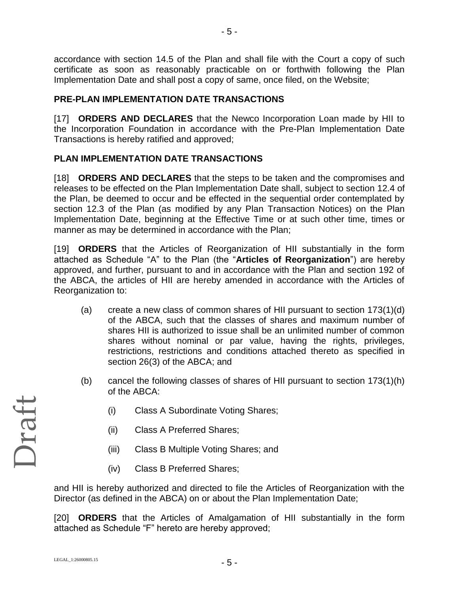accordance with section 14.5 of the Plan and shall file with the Court a copy of such certificate as soon as reasonably practicable on or forthwith following the Plan Implementation Date and shall post a copy of same, once filed, on the Website;

- 5 -

### **PRE-PLAN IMPLEMENTATION DATE TRANSACTIONS**

[17] **ORDERS AND DECLARES** that the Newco Incorporation Loan made by HII to the Incorporation Foundation in accordance with the Pre-Plan Implementation Date Transactions is hereby ratified and approved;

### **PLAN IMPLEMENTATION DATE TRANSACTIONS**

[18] **ORDERS AND DECLARES** that the steps to be taken and the compromises and releases to be effected on the Plan Implementation Date shall, subject to section 12.4 of the Plan, be deemed to occur and be effected in the sequential order contemplated by section 12.3 of the Plan (as modified by any Plan Transaction Notices) on the Plan Implementation Date, beginning at the Effective Time or at such other time, times or manner as may be determined in accordance with the Plan;

[19] **ORDERS** that the Articles of Reorganization of HII substantially in the form attached as Schedule "A" to the Plan (the "**Articles of Reorganization**") are hereby approved, and further, pursuant to and in accordance with the Plan and section 192 of the ABCA, the articles of HII are hereby amended in accordance with the Articles of Reorganization to:

- (a) create a new class of common shares of HII pursuant to section 173(1)(d) of the ABCA, such that the classes of shares and maximum number of shares HII is authorized to issue shall be an unlimited number of common shares without nominal or par value, having the rights, privileges, restrictions, restrictions and conditions attached thereto as specified in section 26(3) of the ABCA; and
- (b) cancel the following classes of shares of HII pursuant to section 173(1)(h) of the ABCA:
	- (i) Class A Subordinate Voting Shares;
	- (ii) Class A Preferred Shares;
	- (iii) Class B Multiple Voting Shares; and
	- (iv) Class B Preferred Shares;

and HII is hereby authorized and directed to file the Articles of Reorganization with the Director (as defined in the ABCA) on or about the Plan Implementation Date;

[20] **ORDERS** that the Articles of Amalgamation of HII substantially in the form attached as Schedule "F" hereto are hereby approved;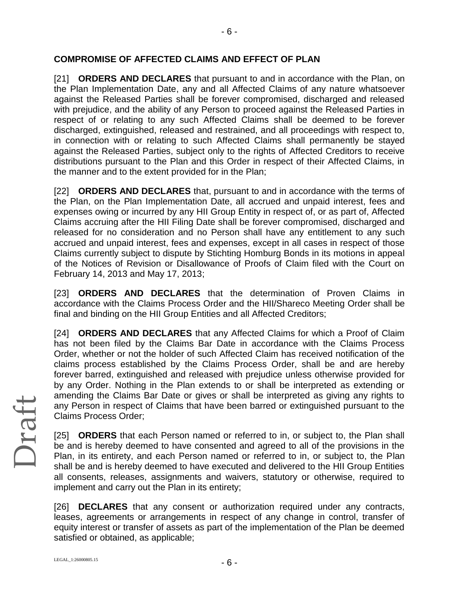### **COMPROMISE OF AFFECTED CLAIMS AND EFFECT OF PLAN**

[21] **ORDERS AND DECLARES** that pursuant to and in accordance with the Plan, on the Plan Implementation Date, any and all Affected Claims of any nature whatsoever against the Released Parties shall be forever compromised, discharged and released with prejudice, and the ability of any Person to proceed against the Released Parties in respect of or relating to any such Affected Claims shall be deemed to be forever discharged, extinguished, released and restrained, and all proceedings with respect to, in connection with or relating to such Affected Claims shall permanently be stayed against the Released Parties, subject only to the rights of Affected Creditors to receive distributions pursuant to the Plan and this Order in respect of their Affected Claims, in the manner and to the extent provided for in the Plan;

[22] **ORDERS AND DECLARES** that, pursuant to and in accordance with the terms of the Plan, on the Plan Implementation Date, all accrued and unpaid interest, fees and expenses owing or incurred by any HII Group Entity in respect of, or as part of, Affected Claims accruing after the HII Filing Date shall be forever compromised, discharged and released for no consideration and no Person shall have any entitlement to any such accrued and unpaid interest, fees and expenses, except in all cases in respect of those Claims currently subject to dispute by Stichting Homburg Bonds in its motions in appeal of the Notices of Revision or Disallowance of Proofs of Claim filed with the Court on February 14, 2013 and May 17, 2013;

[23] **ORDERS AND DECLARES** that the determination of Proven Claims in accordance with the Claims Process Order and the HII/Shareco Meeting Order shall be final and binding on the HII Group Entities and all Affected Creditors;

[24] **ORDERS AND DECLARES** that any Affected Claims for which a Proof of Claim has not been filed by the Claims Bar Date in accordance with the Claims Process Order, whether or not the holder of such Affected Claim has received notification of the claims process established by the Claims Process Order, shall be and are hereby forever barred, extinguished and released with prejudice unless otherwise provided for by any Order. Nothing in the Plan extends to or shall be interpreted as extending or amending the Claims Bar Date or gives or shall be interpreted as giving any rights to any Person in respect of Claims that have been barred or extinguished pursuant to the Claims Process Order;

[25] **ORDERS** that each Person named or referred to in, or subject to, the Plan shall be and is hereby deemed to have consented and agreed to all of the provisions in the Plan, in its entirety, and each Person named or referred to in, or subject to, the Plan shall be and is hereby deemed to have executed and delivered to the HII Group Entities all consents, releases, assignments and waivers, statutory or otherwise, required to implement and carry out the Plan in its entirety;

[26] **DECLARES** that any consent or authorization required under any contracts, leases, agreements or arrangements in respect of any change in control, transfer of equity interest or transfer of assets as part of the implementation of the Plan be deemed satisfied or obtained, as applicable;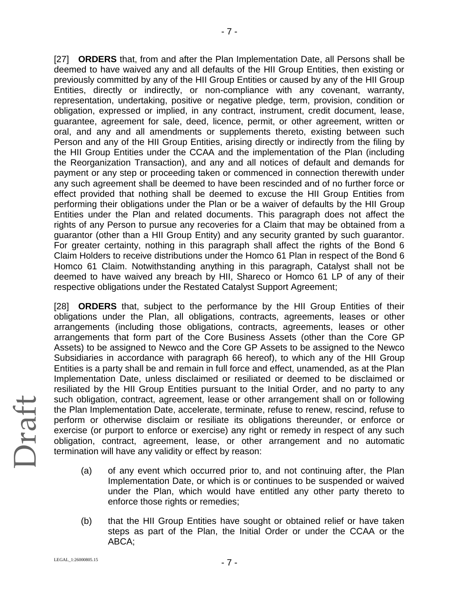[27] **ORDERS** that, from and after the Plan Implementation Date, all Persons shall be deemed to have waived any and all defaults of the HII Group Entities, then existing or previously committed by any of the HII Group Entities or caused by any of the HII Group Entities, directly or indirectly, or non-compliance with any covenant, warranty, representation, undertaking, positive or negative pledge, term, provision, condition or obligation, expressed or implied, in any contract, instrument, credit document, lease, guarantee, agreement for sale, deed, licence, permit, or other agreement, written or oral, and any and all amendments or supplements thereto, existing between such Person and any of the HII Group Entities, arising directly or indirectly from the filing by the HII Group Entities under the CCAA and the implementation of the Plan (including the Reorganization Transaction), and any and all notices of default and demands for payment or any step or proceeding taken or commenced in connection therewith under any such agreement shall be deemed to have been rescinded and of no further force or effect provided that nothing shall be deemed to excuse the HII Group Entities from performing their obligations under the Plan or be a waiver of defaults by the HII Group Entities under the Plan and related documents. This paragraph does not affect the rights of any Person to pursue any recoveries for a Claim that may be obtained from a guarantor (other than a HII Group Entity) and any security granted by such guarantor. For greater certainty, nothing in this paragraph shall affect the rights of the Bond 6 Claim Holders to receive distributions under the Homco 61 Plan in respect of the Bond 6 Homco 61 Claim. Notwithstanding anything in this paragraph, Catalyst shall not be deemed to have waived any breach by HII, Shareco or Homco 61 LP of any of their respective obligations under the Restated Catalyst Support Agreement;

[28] **ORDERS** that, subject to the performance by the HII Group Entities of their obligations under the Plan, all obligations, contracts, agreements, leases or other arrangements (including those obligations, contracts, agreements, leases or other arrangements that form part of the Core Business Assets (other than the Core GP Assets) to be assigned to Newco and the Core GP Assets to be assigned to the Newco Subsidiaries in accordance with paragraph 66 hereof), to which any of the HII Group Entities is a party shall be and remain in full force and effect, unamended, as at the Plan Implementation Date, unless disclaimed or resiliated or deemed to be disclaimed or resiliated by the HII Group Entities pursuant to the Initial Order, and no party to any such obligation, contract, agreement, lease or other arrangement shall on or following the Plan Implementation Date, accelerate, terminate, refuse to renew, rescind, refuse to perform or otherwise disclaim or resiliate its obligations thereunder, or enforce or exercise (or purport to enforce or exercise) any right or remedy in respect of any such obligation, contract, agreement, lease, or other arrangement and no automatic termination will have any validity or effect by reason:

- (a) of any event which occurred prior to, and not continuing after, the Plan Implementation Date, or which is or continues to be suspended or waived under the Plan, which would have entitled any other party thereto to enforce those rights or remedies;
- (b) that the HII Group Entities have sought or obtained relief or have taken steps as part of the Plan, the Initial Order or under the CCAA or the ABCA;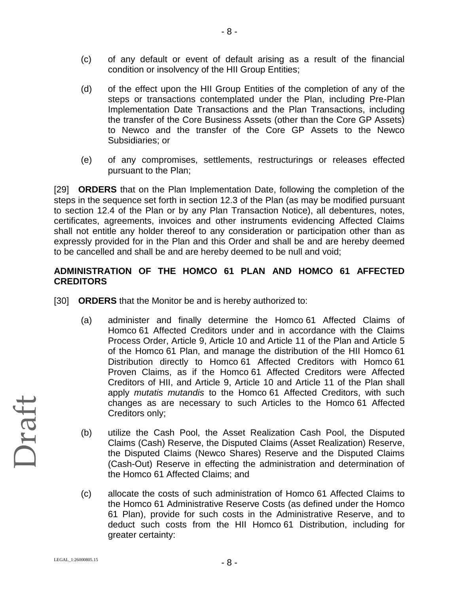- (c) of any default or event of default arising as a result of the financial condition or insolvency of the HII Group Entities;
- (d) of the effect upon the HII Group Entities of the completion of any of the steps or transactions contemplated under the Plan, including Pre-Plan Implementation Date Transactions and the Plan Transactions, including the transfer of the Core Business Assets (other than the Core GP Assets) to Newco and the transfer of the Core GP Assets to the Newco Subsidiaries; or
- (e) of any compromises, settlements, restructurings or releases effected pursuant to the Plan;

[29] **ORDERS** that on the Plan Implementation Date, following the completion of the steps in the sequence set forth in section 12.3 of the Plan (as may be modified pursuant to section 12.4 of the Plan or by any Plan Transaction Notice), all debentures, notes, certificates, agreements, invoices and other instruments evidencing Affected Claims shall not entitle any holder thereof to any consideration or participation other than as expressly provided for in the Plan and this Order and shall be and are hereby deemed to be cancelled and shall be and are hereby deemed to be null and void;

### **ADMINISTRATION OF THE HOMCO 61 PLAN AND HOMCO 61 AFFECTED CREDITORS**

- [30] **ORDERS** that the Monitor be and is hereby authorized to:
	- (a) administer and finally determine the Homco 61 Affected Claims of Homco 61 Affected Creditors under and in accordance with the Claims Process Order, Article 9, Article 10 and Article 11 of the Plan and Article 5 of the Homco 61 Plan, and manage the distribution of the HII Homco 61 Distribution directly to Homco 61 Affected Creditors with Homco 61 Proven Claims, as if the Homco 61 Affected Creditors were Affected Creditors of HII, and Article 9, Article 10 and Article 11 of the Plan shall apply *mutatis mutandis* to the Homco 61 Affected Creditors, with such changes as are necessary to such Articles to the Homco 61 Affected Creditors only;
	- (b) utilize the Cash Pool, the Asset Realization Cash Pool, the Disputed Claims (Cash) Reserve, the Disputed Claims (Asset Realization) Reserve, the Disputed Claims (Newco Shares) Reserve and the Disputed Claims (Cash-Out) Reserve in effecting the administration and determination of the Homco 61 Affected Claims; and
	- (c) allocate the costs of such administration of Homco 61 Affected Claims to the Homco 61 Administrative Reserve Costs (as defined under the Homco 61 Plan), provide for such costs in the Administrative Reserve, and to deduct such costs from the HII Homco 61 Distribution, including for greater certainty: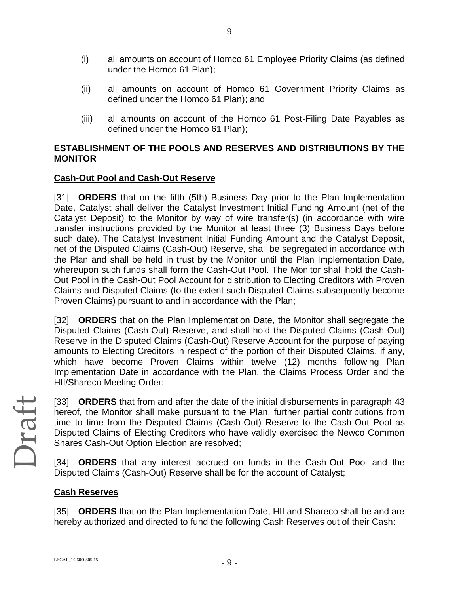- (i) all amounts on account of Homco 61 Employee Priority Claims (as defined under the Homco 61 Plan);
- (ii) all amounts on account of Homco 61 Government Priority Claims as defined under the Homco 61 Plan); and
- (iii) all amounts on account of the Homco 61 Post-Filing Date Payables as defined under the Homco 61 Plan);

### **ESTABLISHMENT OF THE POOLS AND RESERVES AND DISTRIBUTIONS BY THE MONITOR**

### **Cash-Out Pool and Cash-Out Reserve**

[31] **ORDERS** that on the fifth (5th) Business Day prior to the Plan Implementation Date, Catalyst shall deliver the Catalyst Investment Initial Funding Amount (net of the Catalyst Deposit) to the Monitor by way of wire transfer(s) (in accordance with wire transfer instructions provided by the Monitor at least three (3) Business Days before such date). The Catalyst Investment Initial Funding Amount and the Catalyst Deposit, net of the Disputed Claims (Cash-Out) Reserve, shall be segregated in accordance with the Plan and shall be held in trust by the Monitor until the Plan Implementation Date, whereupon such funds shall form the Cash-Out Pool. The Monitor shall hold the Cash-Out Pool in the Cash-Out Pool Account for distribution to Electing Creditors with Proven Claims and Disputed Claims (to the extent such Disputed Claims subsequently become Proven Claims) pursuant to and in accordance with the Plan;

[32] **ORDERS** that on the Plan Implementation Date, the Monitor shall segregate the Disputed Claims (Cash-Out) Reserve, and shall hold the Disputed Claims (Cash-Out) Reserve in the Disputed Claims (Cash-Out) Reserve Account for the purpose of paying amounts to Electing Creditors in respect of the portion of their Disputed Claims, if any, which have become Proven Claims within twelve (12) months following Plan Implementation Date in accordance with the Plan, the Claims Process Order and the HII/Shareco Meeting Order;

[33] **ORDERS** that from and after the date of the initial disbursements in paragraph 43 hereof, the Monitor shall make pursuant to the Plan, further partial contributions from time to time from the Disputed Claims (Cash-Out) Reserve to the Cash-Out Pool as Disputed Claims of Electing Creditors who have validly exercised the Newco Common Shares Cash-Out Option Election are resolved;

[34] **ORDERS** that any interest accrued on funds in the Cash-Out Pool and the Disputed Claims (Cash-Out) Reserve shall be for the account of Catalyst;

### **Cash Reserves**

[35] **ORDERS** that on the Plan Implementation Date, HII and Shareco shall be and are hereby authorized and directed to fund the following Cash Reserves out of their Cash: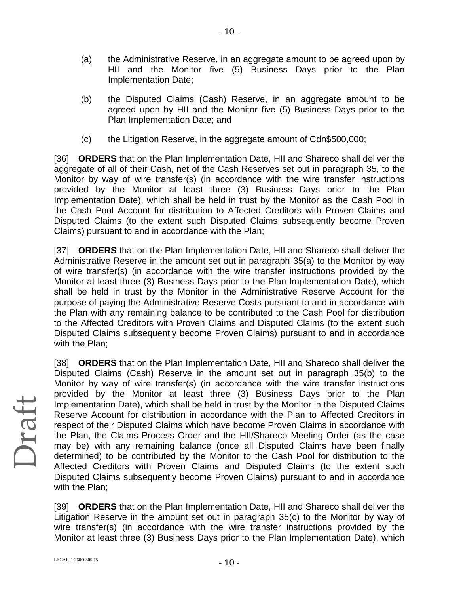- (a) the Administrative Reserve, in an aggregate amount to be agreed upon by HII and the Monitor five (5) Business Days prior to the Plan Implementation Date;
- (b) the Disputed Claims (Cash) Reserve, in an aggregate amount to be agreed upon by HII and the Monitor five (5) Business Days prior to the Plan Implementation Date; and
- (c) the Litigation Reserve, in the aggregate amount of Cdn\$500,000;

[36] **ORDERS** that on the Plan Implementation Date, HII and Shareco shall deliver the aggregate of all of their Cash, net of the Cash Reserves set out in paragraph 35, to the Monitor by way of wire transfer(s) (in accordance with the wire transfer instructions provided by the Monitor at least three (3) Business Days prior to the Plan Implementation Date), which shall be held in trust by the Monitor as the Cash Pool in the Cash Pool Account for distribution to Affected Creditors with Proven Claims and Disputed Claims (to the extent such Disputed Claims subsequently become Proven Claims) pursuant to and in accordance with the Plan;

[37] **ORDERS** that on the Plan Implementation Date, HII and Shareco shall deliver the Administrative Reserve in the amount set out in paragraph 35(a) to the Monitor by way of wire transfer(s) (in accordance with the wire transfer instructions provided by the Monitor at least three (3) Business Days prior to the Plan Implementation Date), which shall be held in trust by the Monitor in the Administrative Reserve Account for the purpose of paying the Administrative Reserve Costs pursuant to and in accordance with the Plan with any remaining balance to be contributed to the Cash Pool for distribution to the Affected Creditors with Proven Claims and Disputed Claims (to the extent such Disputed Claims subsequently become Proven Claims) pursuant to and in accordance with the Plan;

[38] **ORDERS** that on the Plan Implementation Date, HII and Shareco shall deliver the Disputed Claims (Cash) Reserve in the amount set out in paragraph 35(b) to the Monitor by way of wire transfer(s) (in accordance with the wire transfer instructions provided by the Monitor at least three (3) Business Days prior to the Plan Implementation Date), which shall be held in trust by the Monitor in the Disputed Claims Reserve Account for distribution in accordance with the Plan to Affected Creditors in respect of their Disputed Claims which have become Proven Claims in accordance with the Plan, the Claims Process Order and the HII/Shareco Meeting Order (as the case may be) with any remaining balance (once all Disputed Claims have been finally determined) to be contributed by the Monitor to the Cash Pool for distribution to the Affected Creditors with Proven Claims and Disputed Claims (to the extent such Disputed Claims subsequently become Proven Claims) pursuant to and in accordance with the Plan;

[39] **ORDERS** that on the Plan Implementation Date, HII and Shareco shall deliver the Litigation Reserve in the amount set out in paragraph 35(c) to the Monitor by way of wire transfer(s) (in accordance with the wire transfer instructions provided by the Monitor at least three (3) Business Days prior to the Plan Implementation Date), which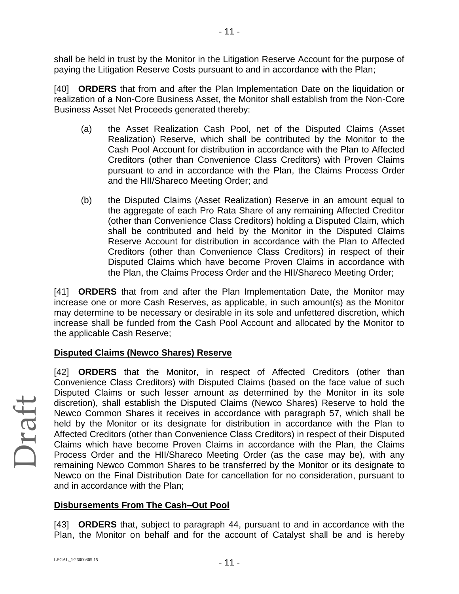shall be held in trust by the Monitor in the Litigation Reserve Account for the purpose of paying the Litigation Reserve Costs pursuant to and in accordance with the Plan;

[40] **ORDERS** that from and after the Plan Implementation Date on the liquidation or realization of a Non-Core Business Asset, the Monitor shall establish from the Non-Core Business Asset Net Proceeds generated thereby:

- (a) the Asset Realization Cash Pool, net of the Disputed Claims (Asset Realization) Reserve, which shall be contributed by the Monitor to the Cash Pool Account for distribution in accordance with the Plan to Affected Creditors (other than Convenience Class Creditors) with Proven Claims pursuant to and in accordance with the Plan, the Claims Process Order and the HII/Shareco Meeting Order; and
- (b) the Disputed Claims (Asset Realization) Reserve in an amount equal to the aggregate of each Pro Rata Share of any remaining Affected Creditor (other than Convenience Class Creditors) holding a Disputed Claim, which shall be contributed and held by the Monitor in the Disputed Claims Reserve Account for distribution in accordance with the Plan to Affected Creditors (other than Convenience Class Creditors) in respect of their Disputed Claims which have become Proven Claims in accordance with the Plan, the Claims Process Order and the HII/Shareco Meeting Order;

[41] **ORDERS** that from and after the Plan Implementation Date, the Monitor may increase one or more Cash Reserves, as applicable, in such amount(s) as the Monitor may determine to be necessary or desirable in its sole and unfettered discretion, which increase shall be funded from the Cash Pool Account and allocated by the Monitor to the applicable Cash Reserve;

### **Disputed Claims (Newco Shares) Reserve**

[42] **ORDERS** that the Monitor, in respect of Affected Creditors (other than Convenience Class Creditors) with Disputed Claims (based on the face value of such Disputed Claims or such lesser amount as determined by the Monitor in its sole discretion), shall establish the Disputed Claims (Newco Shares) Reserve to hold the Newco Common Shares it receives in accordance with paragraph 57, which shall be held by the Monitor or its designate for distribution in accordance with the Plan to Affected Creditors (other than Convenience Class Creditors) in respect of their Disputed Claims which have become Proven Claims in accordance with the Plan, the Claims Process Order and the HII/Shareco Meeting Order (as the case may be), with any remaining Newco Common Shares to be transferred by the Monitor or its designate to Newco on the Final Distribution Date for cancellation for no consideration, pursuant to and in accordance with the Plan;

### **Disbursements From The Cash–Out Pool**

[43] **ORDERS** that, subject to paragraph 44, pursuant to and in accordance with the Plan, the Monitor on behalf and for the account of Catalyst shall be and is hereby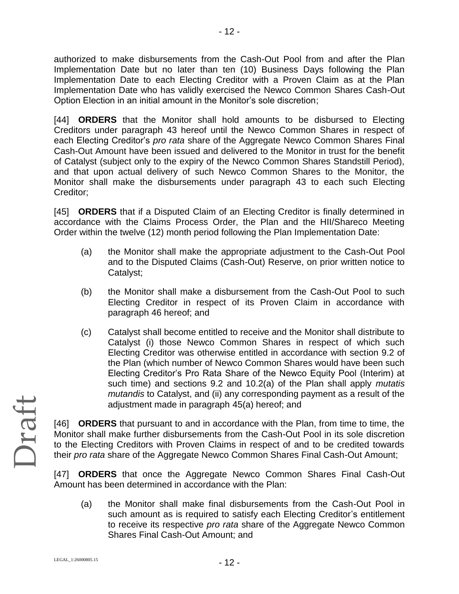authorized to make disbursements from the Cash-Out Pool from and after the Plan Implementation Date but no later than ten (10) Business Days following the Plan Implementation Date to each Electing Creditor with a Proven Claim as at the Plan Implementation Date who has validly exercised the Newco Common Shares Cash-Out Option Election in an initial amount in the Monitor's sole discretion;

[44] **ORDERS** that the Monitor shall hold amounts to be disbursed to Electing Creditors under paragraph 43 hereof until the Newco Common Shares in respect of each Electing Creditor's *pro rata* share of the Aggregate Newco Common Shares Final Cash-Out Amount have been issued and delivered to the Monitor in trust for the benefit of Catalyst (subject only to the expiry of the Newco Common Shares Standstill Period), and that upon actual delivery of such Newco Common Shares to the Monitor, the Monitor shall make the disbursements under paragraph 43 to each such Electing Creditor;

[45] **ORDERS** that if a Disputed Claim of an Electing Creditor is finally determined in accordance with the Claims Process Order, the Plan and the HII/Shareco Meeting Order within the twelve (12) month period following the Plan Implementation Date:

- (a) the Monitor shall make the appropriate adjustment to the Cash-Out Pool and to the Disputed Claims (Cash-Out) Reserve, on prior written notice to Catalyst;
- (b) the Monitor shall make a disbursement from the Cash-Out Pool to such Electing Creditor in respect of its Proven Claim in accordance with paragraph 46 hereof; and
- (c) Catalyst shall become entitled to receive and the Monitor shall distribute to Catalyst (i) those Newco Common Shares in respect of which such Electing Creditor was otherwise entitled in accordance with section 9.2 of the Plan (which number of Newco Common Shares would have been such Electing Creditor's Pro Rata Share of the Newco Equity Pool (Interim) at such time) and sections 9.2 and 10.2(a) of the Plan shall apply *mutatis mutandis* to Catalyst, and (ii) any corresponding payment as a result of the adjustment made in paragraph 45(a) hereof; and

[46] **ORDERS** that pursuant to and in accordance with the Plan, from time to time, the Monitor shall make further disbursements from the Cash-Out Pool in its sole discretion to the Electing Creditors with Proven Claims in respect of and to be credited towards their *pro rata* share of the Aggregate Newco Common Shares Final Cash-Out Amount;

[47] **ORDERS** that once the Aggregate Newco Common Shares Final Cash-Out Amount has been determined in accordance with the Plan:

(a) the Monitor shall make final disbursements from the Cash-Out Pool in such amount as is required to satisfy each Electing Creditor's entitlement to receive its respective *pro rata* share of the Aggregate Newco Common Shares Final Cash-Out Amount; and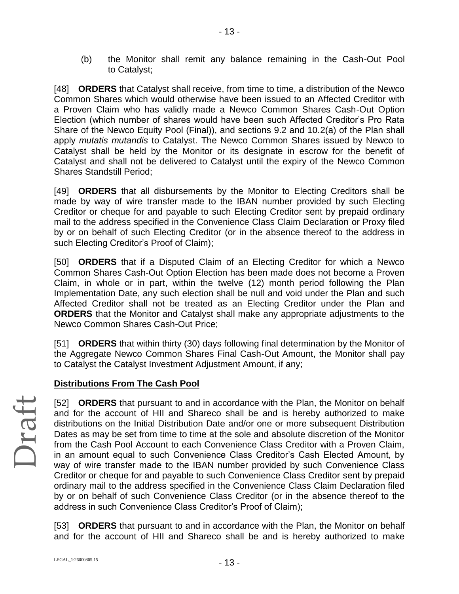(b) the Monitor shall remit any balance remaining in the Cash-Out Pool to Catalyst;

[48] **ORDERS** that Catalyst shall receive, from time to time, a distribution of the Newco Common Shares which would otherwise have been issued to an Affected Creditor with a Proven Claim who has validly made a Newco Common Shares Cash-Out Option Election (which number of shares would have been such Affected Creditor's Pro Rata Share of the Newco Equity Pool (Final)), and sections 9.2 and 10.2(a) of the Plan shall apply *mutatis mutandis* to Catalyst. The Newco Common Shares issued by Newco to Catalyst shall be held by the Monitor or its designate in escrow for the benefit of Catalyst and shall not be delivered to Catalyst until the expiry of the Newco Common Shares Standstill Period;

[49] **ORDERS** that all disbursements by the Monitor to Electing Creditors shall be made by way of wire transfer made to the IBAN number provided by such Electing Creditor or cheque for and payable to such Electing Creditor sent by prepaid ordinary mail to the address specified in the Convenience Class Claim Declaration or Proxy filed by or on behalf of such Electing Creditor (or in the absence thereof to the address in such Electing Creditor's Proof of Claim);

[50] **ORDERS** that if a Disputed Claim of an Electing Creditor for which a Newco Common Shares Cash-Out Option Election has been made does not become a Proven Claim, in whole or in part, within the twelve (12) month period following the Plan Implementation Date, any such election shall be null and void under the Plan and such Affected Creditor shall not be treated as an Electing Creditor under the Plan and **ORDERS** that the Monitor and Catalyst shall make any appropriate adjustments to the Newco Common Shares Cash-Out Price;

[51] **ORDERS** that within thirty (30) days following final determination by the Monitor of the Aggregate Newco Common Shares Final Cash-Out Amount, the Monitor shall pay to Catalyst the Catalyst Investment Adjustment Amount, if any;

### **Distributions From The Cash Pool**

[52] **ORDERS** that pursuant to and in accordance with the Plan, the Monitor on behalf and for the account of HII and Shareco shall be and is hereby authorized to make distributions on the Initial Distribution Date and/or one or more subsequent Distribution Dates as may be set from time to time at the sole and absolute discretion of the Monitor from the Cash Pool Account to each Convenience Class Creditor with a Proven Claim, in an amount equal to such Convenience Class Creditor's Cash Elected Amount, by way of wire transfer made to the IBAN number provided by such Convenience Class Creditor or cheque for and payable to such Convenience Class Creditor sent by prepaid ordinary mail to the address specified in the Convenience Class Claim Declaration filed by or on behalf of such Convenience Class Creditor (or in the absence thereof to the address in such Convenience Class Creditor's Proof of Claim);

[53] **ORDERS** that pursuant to and in accordance with the Plan, the Monitor on behalf and for the account of HII and Shareco shall be and is hereby authorized to make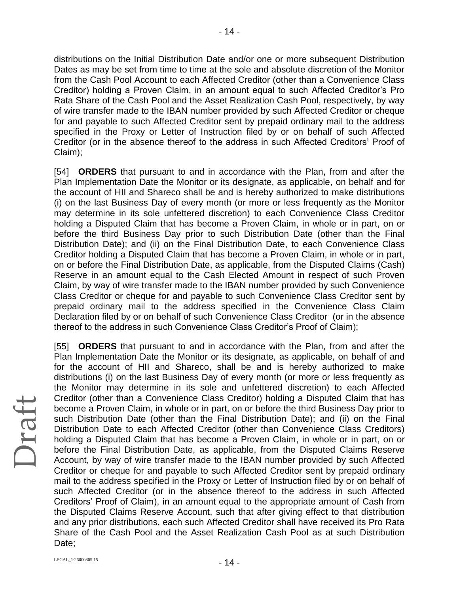distributions on the Initial Distribution Date and/or one or more subsequent Distribution Dates as may be set from time to time at the sole and absolute discretion of the Monitor from the Cash Pool Account to each Affected Creditor (other than a Convenience Class Creditor) holding a Proven Claim, in an amount equal to such Affected Creditor's Pro Rata Share of the Cash Pool and the Asset Realization Cash Pool, respectively, by way of wire transfer made to the IBAN number provided by such Affected Creditor or cheque for and payable to such Affected Creditor sent by prepaid ordinary mail to the address specified in the Proxy or Letter of Instruction filed by or on behalf of such Affected Creditor (or in the absence thereof to the address in such Affected Creditors' Proof of Claim);

[54] **ORDERS** that pursuant to and in accordance with the Plan, from and after the Plan Implementation Date the Monitor or its designate, as applicable, on behalf and for the account of HII and Shareco shall be and is hereby authorized to make distributions (i) on the last Business Day of every month (or more or less frequently as the Monitor may determine in its sole unfettered discretion) to each Convenience Class Creditor holding a Disputed Claim that has become a Proven Claim, in whole or in part, on or before the third Business Day prior to such Distribution Date (other than the Final Distribution Date); and (ii) on the Final Distribution Date, to each Convenience Class Creditor holding a Disputed Claim that has become a Proven Claim, in whole or in part, on or before the Final Distribution Date, as applicable, from the Disputed Claims (Cash) Reserve in an amount equal to the Cash Elected Amount in respect of such Proven Claim, by way of wire transfer made to the IBAN number provided by such Convenience Class Creditor or cheque for and payable to such Convenience Class Creditor sent by prepaid ordinary mail to the address specified in the Convenience Class Claim Declaration filed by or on behalf of such Convenience Class Creditor (or in the absence thereof to the address in such Convenience Class Creditor's Proof of Claim);

[55] **ORDERS** that pursuant to and in accordance with the Plan, from and after the Plan Implementation Date the Monitor or its designate, as applicable, on behalf of and for the account of HII and Shareco, shall be and is hereby authorized to make distributions (i) on the last Business Day of every month (or more or less frequently as the Monitor may determine in its sole and unfettered discretion) to each Affected Creditor (other than a Convenience Class Creditor) holding a Disputed Claim that has become a Proven Claim, in whole or in part, on or before the third Business Day prior to such Distribution Date (other than the Final Distribution Date); and (ii) on the Final Distribution Date to each Affected Creditor (other than Convenience Class Creditors) holding a Disputed Claim that has become a Proven Claim, in whole or in part, on or before the Final Distribution Date, as applicable, from the Disputed Claims Reserve Account, by way of wire transfer made to the IBAN number provided by such Affected Creditor or cheque for and payable to such Affected Creditor sent by prepaid ordinary mail to the address specified in the Proxy or Letter of Instruction filed by or on behalf of such Affected Creditor (or in the absence thereof to the address in such Affected Creditors' Proof of Claim), in an amount equal to the appropriate amount of Cash from the Disputed Claims Reserve Account, such that after giving effect to that distribution and any prior distributions, each such Affected Creditor shall have received its Pro Rata Share of the Cash Pool and the Asset Realization Cash Pool as at such Distribution Date: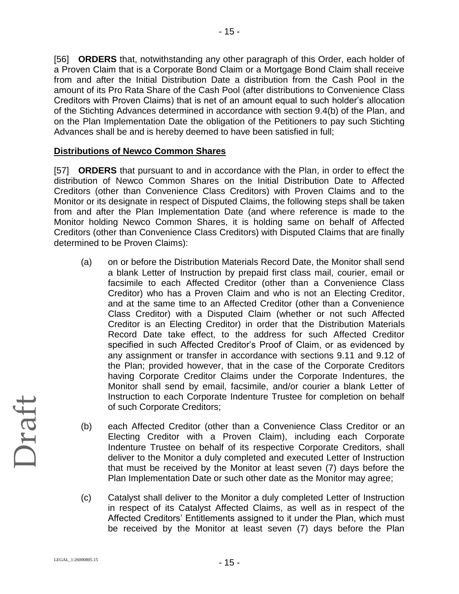[56] **ORDERS** that, notwithstanding any other paragraph of this Order, each holder of a Proven Claim that is a Corporate Bond Claim or a Mortgage Bond Claim shall receive from and after the Initial Distribution Date a distribution from the Cash Pool in the amount of its Pro Rata Share of the Cash Pool (after distributions to Convenience Class Creditors with Proven Claims) that is net of an amount equal to such holder's allocation of the Stichting Advances determined in accordance with section 9.4(b) of the Plan, and on the Plan Implementation Date the obligation of the Petitioners to pay such Stichting Advances shall be and is hereby deemed to have been satisfied in full;

### **Distributions of Newco Common Shares**

[57] **ORDERS** that pursuant to and in accordance with the Plan, in order to effect the distribution of Newco Common Shares on the Initial Distribution Date to Affected Creditors (other than Convenience Class Creditors) with Proven Claims and to the Monitor or its designate in respect of Disputed Claims, the following steps shall be taken from and after the Plan Implementation Date (and where reference is made to the Monitor holding Newco Common Shares, it is holding same on behalf of Affected Creditors (other than Convenience Class Creditors) with Disputed Claims that are finally determined to be Proven Claims):

- (a) on or before the Distribution Materials Record Date, the Monitor shall send a blank Letter of Instruction by prepaid first class mail, courier, email or facsimile to each Affected Creditor (other than a Convenience Class Creditor) who has a Proven Claim and who is not an Electing Creditor, and at the same time to an Affected Creditor (other than a Convenience Class Creditor) with a Disputed Claim (whether or not such Affected Creditor is an Electing Creditor) in order that the Distribution Materials Record Date take effect, to the address for such Affected Creditor specified in such Affected Creditor's Proof of Claim, or as evidenced by any assignment or transfer in accordance with sections 9.11 and 9.12 of the Plan; provided however, that in the case of the Corporate Creditors having Corporate Creditor Claims under the Corporate Indentures, the Monitor shall send by email, facsimile, and/or courier a blank Letter of Instruction to each Corporate Indenture Trustee for completion on behalf of such Corporate Creditors;
- (b) each Affected Creditor (other than a Convenience Class Creditor or an Electing Creditor with a Proven Claim), including each Corporate Indenture Trustee on behalf of its respective Corporate Creditors, shall deliver to the Monitor a duly completed and executed Letter of Instruction that must be received by the Monitor at least seven (7) days before the Plan Implementation Date or such other date as the Monitor may agree;
- (c) Catalyst shall deliver to the Monitor a duly completed Letter of Instruction in respect of its Catalyst Affected Claims, as well as in respect of the Affected Creditors' Entitlements assigned to it under the Plan, which must be received by the Monitor at least seven (7) days before the Plan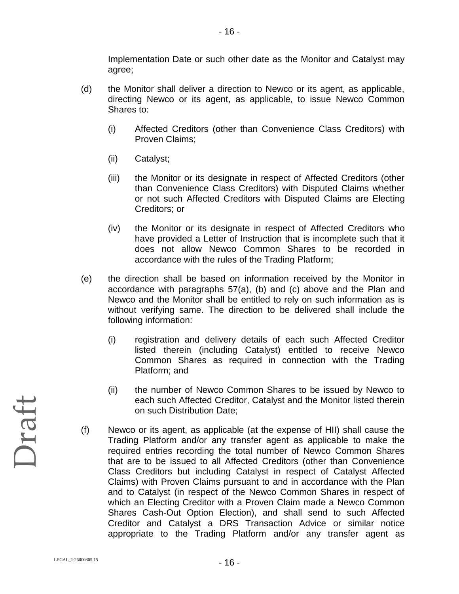Implementation Date or such other date as the Monitor and Catalyst may agree;

- (d) the Monitor shall deliver a direction to Newco or its agent, as applicable, directing Newco or its agent, as applicable, to issue Newco Common Shares to:
	- (i) Affected Creditors (other than Convenience Class Creditors) with Proven Claims;
	- (ii) Catalyst;
	- (iii) the Monitor or its designate in respect of Affected Creditors (other than Convenience Class Creditors) with Disputed Claims whether or not such Affected Creditors with Disputed Claims are Electing Creditors; or
	- (iv) the Monitor or its designate in respect of Affected Creditors who have provided a Letter of Instruction that is incomplete such that it does not allow Newco Common Shares to be recorded in accordance with the rules of the Trading Platform;
- (e) the direction shall be based on information received by the Monitor in accordance with paragraphs 57(a), (b) and (c) above and the Plan and Newco and the Monitor shall be entitled to rely on such information as is without verifying same. The direction to be delivered shall include the following information:
	- (i) registration and delivery details of each such Affected Creditor listed therein (including Catalyst) entitled to receive Newco Common Shares as required in connection with the Trading Platform; and
	- (ii) the number of Newco Common Shares to be issued by Newco to each such Affected Creditor, Catalyst and the Monitor listed therein on such Distribution Date;
- (f) Newco or its agent, as applicable (at the expense of HII) shall cause the Trading Platform and/or any transfer agent as applicable to make the required entries recording the total number of Newco Common Shares that are to be issued to all Affected Creditors (other than Convenience Class Creditors but including Catalyst in respect of Catalyst Affected Claims) with Proven Claims pursuant to and in accordance with the Plan and to Catalyst (in respect of the Newco Common Shares in respect of which an Electing Creditor with a Proven Claim made a Newco Common Shares Cash-Out Option Election), and shall send to such Affected Creditor and Catalyst a DRS Transaction Advice or similar notice appropriate to the Trading Platform and/or any transfer agent as

Draft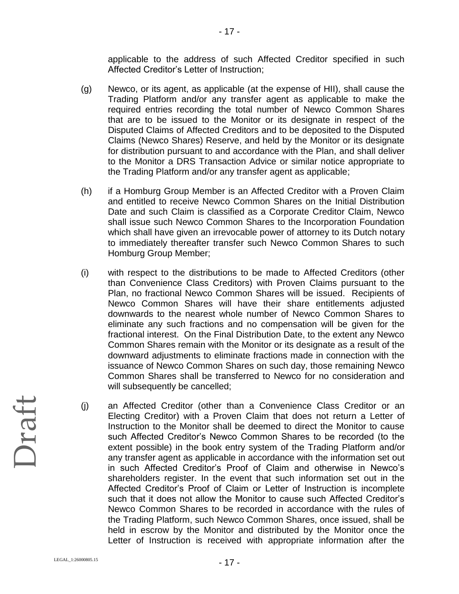applicable to the address of such Affected Creditor specified in such Affected Creditor's Letter of Instruction;

- (g) Newco, or its agent, as applicable (at the expense of HII), shall cause the Trading Platform and/or any transfer agent as applicable to make the required entries recording the total number of Newco Common Shares that are to be issued to the Monitor or its designate in respect of the Disputed Claims of Affected Creditors and to be deposited to the Disputed Claims (Newco Shares) Reserve, and held by the Monitor or its designate for distribution pursuant to and accordance with the Plan, and shall deliver to the Monitor a DRS Transaction Advice or similar notice appropriate to the Trading Platform and/or any transfer agent as applicable;
- (h) if a Homburg Group Member is an Affected Creditor with a Proven Claim and entitled to receive Newco Common Shares on the Initial Distribution Date and such Claim is classified as a Corporate Creditor Claim, Newco shall issue such Newco Common Shares to the Incorporation Foundation which shall have given an irrevocable power of attorney to its Dutch notary to immediately thereafter transfer such Newco Common Shares to such Homburg Group Member;
- (i) with respect to the distributions to be made to Affected Creditors (other than Convenience Class Creditors) with Proven Claims pursuant to the Plan, no fractional Newco Common Shares will be issued. Recipients of Newco Common Shares will have their share entitlements adjusted downwards to the nearest whole number of Newco Common Shares to eliminate any such fractions and no compensation will be given for the fractional interest. On the Final Distribution Date, to the extent any Newco Common Shares remain with the Monitor or its designate as a result of the downward adjustments to eliminate fractions made in connection with the issuance of Newco Common Shares on such day, those remaining Newco Common Shares shall be transferred to Newco for no consideration and will subsequently be cancelled;
- (j) an Affected Creditor (other than a Convenience Class Creditor or an Electing Creditor) with a Proven Claim that does not return a Letter of Instruction to the Monitor shall be deemed to direct the Monitor to cause such Affected Creditor's Newco Common Shares to be recorded (to the extent possible) in the book entry system of the Trading Platform and/or any transfer agent as applicable in accordance with the information set out in such Affected Creditor's Proof of Claim and otherwise in Newco's shareholders register. In the event that such information set out in the Affected Creditor's Proof of Claim or Letter of Instruction is incomplete such that it does not allow the Monitor to cause such Affected Creditor's Newco Common Shares to be recorded in accordance with the rules of the Trading Platform, such Newco Common Shares, once issued, shall be held in escrow by the Monitor and distributed by the Monitor once the Letter of Instruction is received with appropriate information after the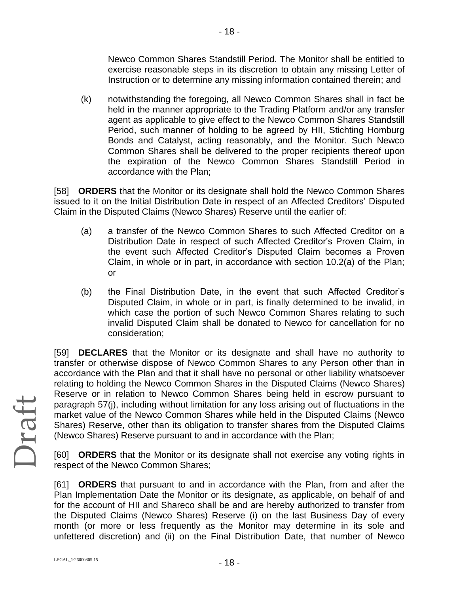Newco Common Shares Standstill Period. The Monitor shall be entitled to exercise reasonable steps in its discretion to obtain any missing Letter of Instruction or to determine any missing information contained therein; and

(k) notwithstanding the foregoing, all Newco Common Shares shall in fact be held in the manner appropriate to the Trading Platform and/or any transfer agent as applicable to give effect to the Newco Common Shares Standstill Period, such manner of holding to be agreed by HII, Stichting Homburg Bonds and Catalyst, acting reasonably, and the Monitor. Such Newco Common Shares shall be delivered to the proper recipients thereof upon the expiration of the Newco Common Shares Standstill Period in accordance with the Plan;

[58] **ORDERS** that the Monitor or its designate shall hold the Newco Common Shares issued to it on the Initial Distribution Date in respect of an Affected Creditors' Disputed Claim in the Disputed Claims (Newco Shares) Reserve until the earlier of:

- (a) a transfer of the Newco Common Shares to such Affected Creditor on a Distribution Date in respect of such Affected Creditor's Proven Claim, in the event such Affected Creditor's Disputed Claim becomes a Proven Claim, in whole or in part, in accordance with section 10.2(a) of the Plan; or
- (b) the Final Distribution Date, in the event that such Affected Creditor's Disputed Claim, in whole or in part, is finally determined to be invalid, in which case the portion of such Newco Common Shares relating to such invalid Disputed Claim shall be donated to Newco for cancellation for no consideration;

[59] **DECLARES** that the Monitor or its designate and shall have no authority to transfer or otherwise dispose of Newco Common Shares to any Person other than in accordance with the Plan and that it shall have no personal or other liability whatsoever relating to holding the Newco Common Shares in the Disputed Claims (Newco Shares) Reserve or in relation to Newco Common Shares being held in escrow pursuant to paragraph 57(j), including without limitation for any loss arising out of fluctuations in the market value of the Newco Common Shares while held in the Disputed Claims (Newco Shares) Reserve, other than its obligation to transfer shares from the Disputed Claims (Newco Shares) Reserve pursuant to and in accordance with the Plan;

[60] **ORDERS** that the Monitor or its designate shall not exercise any voting rights in respect of the Newco Common Shares;

[61] **ORDERS** that pursuant to and in accordance with the Plan, from and after the Plan Implementation Date the Monitor or its designate, as applicable, on behalf of and for the account of HII and Shareco shall be and are hereby authorized to transfer from the Disputed Claims (Newco Shares) Reserve (i) on the last Business Day of every month (or more or less frequently as the Monitor may determine in its sole and unfettered discretion) and (ii) on the Final Distribution Date, that number of Newco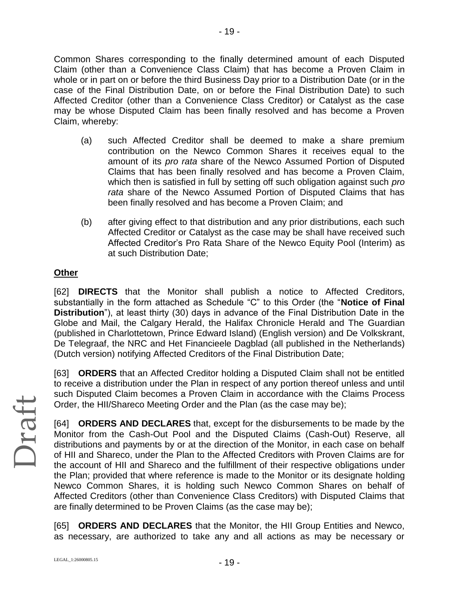Common Shares corresponding to the finally determined amount of each Disputed Claim (other than a Convenience Class Claim) that has become a Proven Claim in whole or in part on or before the third Business Day prior to a Distribution Date (or in the case of the Final Distribution Date, on or before the Final Distribution Date) to such Affected Creditor (other than a Convenience Class Creditor) or Catalyst as the case may be whose Disputed Claim has been finally resolved and has become a Proven Claim, whereby:

- (a) such Affected Creditor shall be deemed to make a share premium contribution on the Newco Common Shares it receives equal to the amount of its *pro rata* share of the Newco Assumed Portion of Disputed Claims that has been finally resolved and has become a Proven Claim, which then is satisfied in full by setting off such obligation against such *pro rata* share of the Newco Assumed Portion of Disputed Claims that has been finally resolved and has become a Proven Claim; and
- (b) after giving effect to that distribution and any prior distributions, each such Affected Creditor or Catalyst as the case may be shall have received such Affected Creditor's Pro Rata Share of the Newco Equity Pool (Interim) as at such Distribution Date;

### **Other**

[62] **DIRECTS** that the Monitor shall publish a notice to Affected Creditors, substantially in the form attached as Schedule "C" to this Order (the "**Notice of Final Distribution**"), at least thirty (30) days in advance of the Final Distribution Date in the Globe and Mail, the Calgary Herald, the Halifax Chronicle Herald and The Guardian (published in Charlottetown, Prince Edward Island) (English version) and De Volkskrant, De Telegraaf, the NRC and Het Financieele Dagblad (all published in the Netherlands) (Dutch version) notifying Affected Creditors of the Final Distribution Date;

[63] **ORDERS** that an Affected Creditor holding a Disputed Claim shall not be entitled to receive a distribution under the Plan in respect of any portion thereof unless and until such Disputed Claim becomes a Proven Claim in accordance with the Claims Process Order, the HII/Shareco Meeting Order and the Plan (as the case may be);

[64] **ORDERS AND DECLARES** that, except for the disbursements to be made by the Monitor from the Cash-Out Pool and the Disputed Claims (Cash-Out) Reserve, all distributions and payments by or at the direction of the Monitor, in each case on behalf of HII and Shareco, under the Plan to the Affected Creditors with Proven Claims are for the account of HII and Shareco and the fulfillment of their respective obligations under the Plan; provided that where reference is made to the Monitor or its designate holding Newco Common Shares, it is holding such Newco Common Shares on behalf of Affected Creditors (other than Convenience Class Creditors) with Disputed Claims that are finally determined to be Proven Claims (as the case may be);

[65] **ORDERS AND DECLARES** that the Monitor, the HII Group Entities and Newco, as necessary, are authorized to take any and all actions as may be necessary or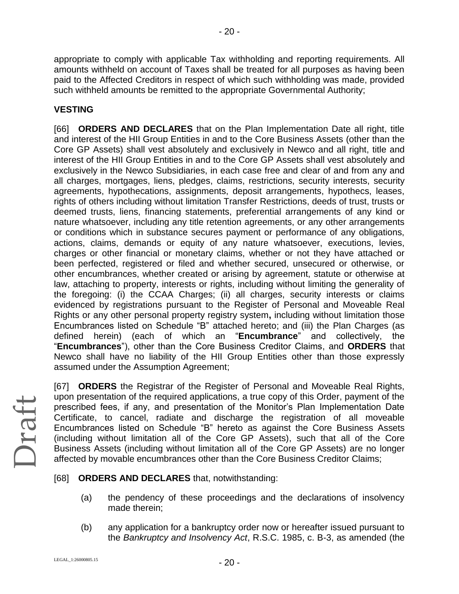appropriate to comply with applicable Tax withholding and reporting requirements. All amounts withheld on account of Taxes shall be treated for all purposes as having been paid to the Affected Creditors in respect of which such withholding was made, provided such withheld amounts be remitted to the appropriate Governmental Authority;

- 20 -

### **VESTING**

[66] **ORDERS AND DECLARES** that on the Plan Implementation Date all right, title and interest of the HII Group Entities in and to the Core Business Assets (other than the Core GP Assets) shall vest absolutely and exclusively in Newco and all right, title and interest of the HII Group Entities in and to the Core GP Assets shall vest absolutely and exclusively in the Newco Subsidiaries, in each case free and clear of and from any and all charges, mortgages, liens, pledges, claims, restrictions, security interests, security agreements, hypothecations, assignments, deposit arrangements, hypothecs, leases, rights of others including without limitation Transfer Restrictions, deeds of trust, trusts or deemed trusts, liens, financing statements, preferential arrangements of any kind or nature whatsoever, including any title retention agreements, or any other arrangements or conditions which in substance secures payment or performance of any obligations, actions, claims, demands or equity of any nature whatsoever, executions, levies, charges or other financial or monetary claims, whether or not they have attached or been perfected, registered or filed and whether secured, unsecured or otherwise, or other encumbrances, whether created or arising by agreement, statute or otherwise at law, attaching to property, interests or rights, including without limiting the generality of the foregoing: (i) the CCAA Charges; (ii) all charges, security interests or claims evidenced by registrations pursuant to the Register of Personal and Moveable Real Rights or any other personal property registry system**,** including without limitation those Encumbrances listed on Schedule "B" attached hereto; and (iii) the Plan Charges (as defined herein) (each of which an "**Encumbrance**" and collectively, the "**Encumbrances**"), other than the Core Business Creditor Claims, and **ORDERS** that Newco shall have no liability of the HII Group Entities other than those expressly assumed under the Assumption Agreement;

[67] **ORDERS** the Registrar of the Register of Personal and Moveable Real Rights, upon presentation of the required applications, a true copy of this Order, payment of the prescribed fees, if any, and presentation of the Monitor's Plan Implementation Date Certificate, to cancel, radiate and discharge the registration of all moveable Encumbrances listed on Schedule "B" hereto as against the Core Business Assets (including without limitation all of the Core GP Assets), such that all of the Core Business Assets (including without limitation all of the Core GP Assets) are no longer affected by movable encumbrances other than the Core Business Creditor Claims;

[68] **ORDERS AND DECLARES** that, notwithstanding:

- (a) the pendency of these proceedings and the declarations of insolvency made therein;
- (b) any application for a bankruptcy order now or hereafter issued pursuant to the *Bankruptcy and Insolvency Act*, R.S.C. 1985, c. B-3, as amended (the

Draft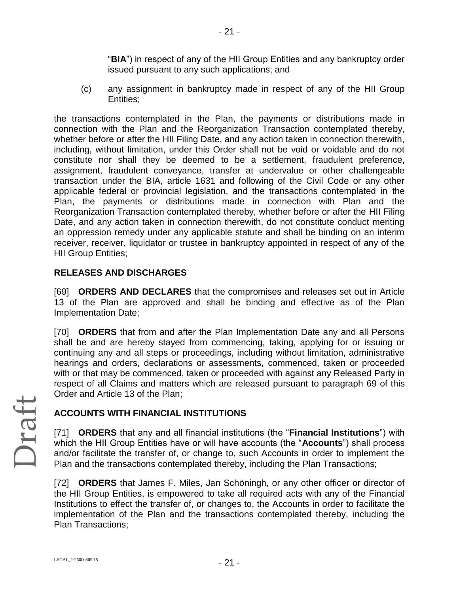"**BIA**") in respect of any of the HII Group Entities and any bankruptcy order issued pursuant to any such applications; and

(c) any assignment in bankruptcy made in respect of any of the HII Group Entities;

the transactions contemplated in the Plan, the payments or distributions made in connection with the Plan and the Reorganization Transaction contemplated thereby, whether before or after the HII Filing Date, and any action taken in connection therewith, including, without limitation, under this Order shall not be void or voidable and do not constitute nor shall they be deemed to be a settlement, fraudulent preference, assignment, fraudulent conveyance, transfer at undervalue or other challengeable transaction under the BIA, article 1631 and following of the Civil Code or any other applicable federal or provincial legislation, and the transactions contemplated in the Plan, the payments or distributions made in connection with Plan and the Reorganization Transaction contemplated thereby, whether before or after the HII Filing Date, and any action taken in connection therewith, do not constitute conduct meriting an oppression remedy under any applicable statute and shall be binding on an interim receiver, receiver, liquidator or trustee in bankruptcy appointed in respect of any of the HII Group Entities;

### **RELEASES AND DISCHARGES**

[69] **ORDERS AND DECLARES** that the compromises and releases set out in Article 13 of the Plan are approved and shall be binding and effective as of the Plan Implementation Date;

[70] **ORDERS** that from and after the Plan Implementation Date any and all Persons shall be and are hereby stayed from commencing, taking, applying for or issuing or continuing any and all steps or proceedings, including without limitation, administrative hearings and orders, declarations or assessments, commenced, taken or proceeded with or that may be commenced, taken or proceeded with against any Released Party in respect of all Claims and matters which are released pursuant to paragraph 69 of this Order and Article 13 of the Plan;

### **ACCOUNTS WITH FINANCIAL INSTITUTIONS**

[71] **ORDERS** that any and all financial institutions (the "**Financial Institutions**") with which the HII Group Entities have or will have accounts (the "**Accounts**") shall process and/or facilitate the transfer of, or change to, such Accounts in order to implement the Plan and the transactions contemplated thereby, including the Plan Transactions;

[72] **ORDERS** that James F. Miles, Jan Schöningh, or any other officer or director of the HII Group Entities, is empowered to take all required acts with any of the Financial Institutions to effect the transfer of, or changes to, the Accounts in order to facilitate the implementation of the Plan and the transactions contemplated thereby, including the Plan Transactions;

- 21 -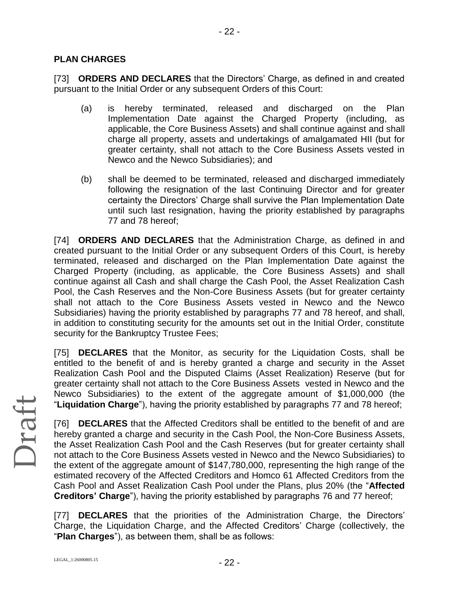### **PLAN CHARGES**

[73] **ORDERS AND DECLARES** that the Directors' Charge, as defined in and created pursuant to the Initial Order or any subsequent Orders of this Court:

- 22 -

- (a) is hereby terminated, released and discharged on the Plan Implementation Date against the Charged Property (including, as applicable, the Core Business Assets) and shall continue against and shall charge all property, assets and undertakings of amalgamated HII (but for greater certainty, shall not attach to the Core Business Assets vested in Newco and the Newco Subsidiaries); and
- (b) shall be deemed to be terminated, released and discharged immediately following the resignation of the last Continuing Director and for greater certainty the Directors' Charge shall survive the Plan Implementation Date until such last resignation, having the priority established by paragraphs 77 and 78 hereof;

[74] **ORDERS AND DECLARES** that the Administration Charge, as defined in and created pursuant to the Initial Order or any subsequent Orders of this Court, is hereby terminated, released and discharged on the Plan Implementation Date against the Charged Property (including, as applicable, the Core Business Assets) and shall continue against all Cash and shall charge the Cash Pool, the Asset Realization Cash Pool, the Cash Reserves and the Non-Core Business Assets (but for greater certainty shall not attach to the Core Business Assets vested in Newco and the Newco Subsidiaries) having the priority established by paragraphs 77 and 78 hereof, and shall, in addition to constituting security for the amounts set out in the Initial Order, constitute security for the Bankruptcy Trustee Fees;

[75] **DECLARES** that the Monitor, as security for the Liquidation Costs, shall be entitled to the benefit of and is hereby granted a charge and security in the Asset Realization Cash Pool and the Disputed Claims (Asset Realization) Reserve (but for greater certainty shall not attach to the Core Business Assets vested in Newco and the Newco Subsidiaries) to the extent of the aggregate amount of \$1,000,000 (the "**Liquidation Charge**"), having the priority established by paragraphs 77 and 78 hereof;

[76] **DECLARES** that the Affected Creditors shall be entitled to the benefit of and are hereby granted a charge and security in the Cash Pool, the Non-Core Business Assets, the Asset Realization Cash Pool and the Cash Reserves (but for greater certainty shall not attach to the Core Business Assets vested in Newco and the Newco Subsidiaries) to the extent of the aggregate amount of \$147,780,000, representing the high range of the estimated recovery of the Affected Creditors and Homco 61 Affected Creditors from the Cash Pool and Asset Realization Cash Pool under the Plans, plus 20% (the "**Affected Creditors' Charge**"), having the priority established by paragraphs 76 and 77 hereof;

[77] **DECLARES** that the priorities of the Administration Charge, the Directors' Charge, the Liquidation Charge, and the Affected Creditors' Charge (collectively, the "**Plan Charges**"), as between them, shall be as follows: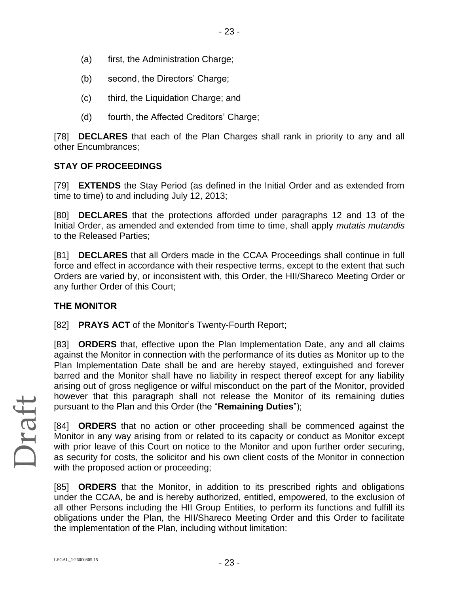- (a) first, the Administration Charge;
- (b) second, the Directors' Charge;
- (c) third, the Liquidation Charge; and
- (d) fourth, the Affected Creditors' Charge;

[78] **DECLARES** that each of the Plan Charges shall rank in priority to any and all other Encumbrances;

### **STAY OF PROCEEDINGS**

[79] **EXTENDS** the Stay Period (as defined in the Initial Order and as extended from time to time) to and including July 12, 2013;

[80] **DECLARES** that the protections afforded under paragraphs 12 and 13 of the Initial Order, as amended and extended from time to time, shall apply *mutatis mutandis* to the Released Parties;

[81] **DECLARES** that all Orders made in the CCAA Proceedings shall continue in full force and effect in accordance with their respective terms, except to the extent that such Orders are varied by, or inconsistent with, this Order, the HII/Shareco Meeting Order or any further Order of this Court;

### **THE MONITOR**

[82] **PRAYS ACT** of the Monitor's Twenty-Fourth Report;

[83] **ORDERS** that, effective upon the Plan Implementation Date, any and all claims against the Monitor in connection with the performance of its duties as Monitor up to the Plan Implementation Date shall be and are hereby stayed, extinguished and forever barred and the Monitor shall have no liability in respect thereof except for any liability arising out of gross negligence or wilful misconduct on the part of the Monitor, provided however that this paragraph shall not release the Monitor of its remaining duties pursuant to the Plan and this Order (the "**Remaining Duties**");

[84] **ORDERS** that no action or other proceeding shall be commenced against the Monitor in any way arising from or related to its capacity or conduct as Monitor except with prior leave of this Court on notice to the Monitor and upon further order securing, as security for costs, the solicitor and his own client costs of the Monitor in connection with the proposed action or proceeding;

[85] **ORDERS** that the Monitor, in addition to its prescribed rights and obligations under the CCAA, be and is hereby authorized, entitled, empowered, to the exclusion of all other Persons including the HII Group Entities, to perform its functions and fulfill its obligations under the Plan, the HII/Shareco Meeting Order and this Order to facilitate the implementation of the Plan, including without limitation: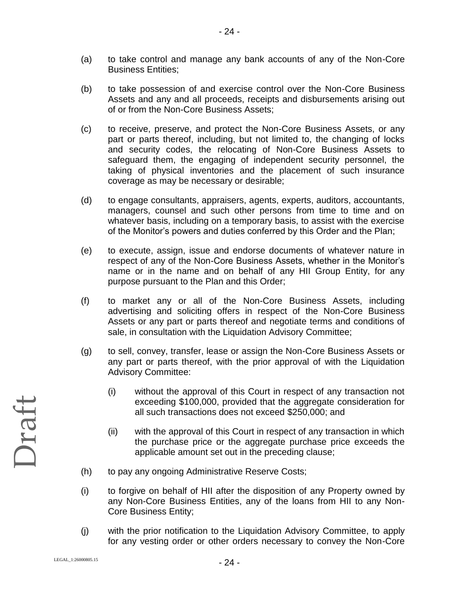- (a) to take control and manage any bank accounts of any of the Non-Core Business Entities;
- (b) to take possession of and exercise control over the Non-Core Business Assets and any and all proceeds, receipts and disbursements arising out of or from the Non-Core Business Assets;
- (c) to receive, preserve, and protect the Non-Core Business Assets, or any part or parts thereof, including, but not limited to, the changing of locks and security codes, the relocating of Non-Core Business Assets to safeguard them, the engaging of independent security personnel, the taking of physical inventories and the placement of such insurance coverage as may be necessary or desirable;
- (d) to engage consultants, appraisers, agents, experts, auditors, accountants, managers, counsel and such other persons from time to time and on whatever basis, including on a temporary basis, to assist with the exercise of the Monitor's powers and duties conferred by this Order and the Plan;
- (e) to execute, assign, issue and endorse documents of whatever nature in respect of any of the Non-Core Business Assets, whether in the Monitor's name or in the name and on behalf of any HII Group Entity, for any purpose pursuant to the Plan and this Order;
- (f) to market any or all of the Non-Core Business Assets, including advertising and soliciting offers in respect of the Non-Core Business Assets or any part or parts thereof and negotiate terms and conditions of sale, in consultation with the Liquidation Advisory Committee;
- (g) to sell, convey, transfer, lease or assign the Non-Core Business Assets or any part or parts thereof, with the prior approval of with the Liquidation Advisory Committee:
	- (i) without the approval of this Court in respect of any transaction not exceeding \$100,000, provided that the aggregate consideration for all such transactions does not exceed \$250,000; and
	- (ii) with the approval of this Court in respect of any transaction in which the purchase price or the aggregate purchase price exceeds the applicable amount set out in the preceding clause;
- (h) to pay any ongoing Administrative Reserve Costs;
- (i) to forgive on behalf of HII after the disposition of any Property owned by any Non-Core Business Entities, any of the loans from HII to any Non-Core Business Entity;
- (j) with the prior notification to the Liquidation Advisory Committee, to apply for any vesting order or other orders necessary to convey the Non-Core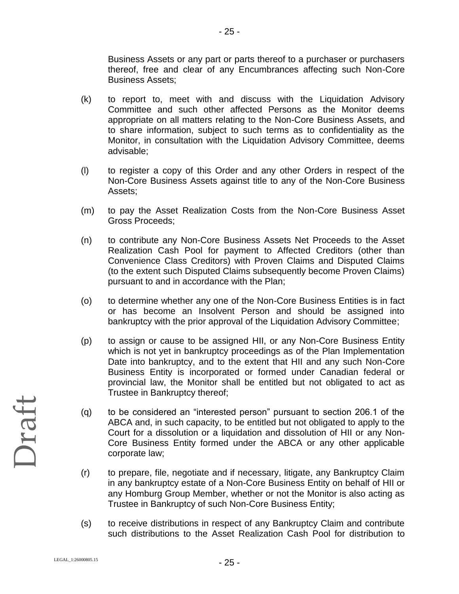Business Assets or any part or parts thereof to a purchaser or purchasers thereof, free and clear of any Encumbrances affecting such Non-Core Business Assets;

(k) to report to, meet with and discuss with the Liquidation Advisory Committee and such other affected Persons as the Monitor deems appropriate on all matters relating to the Non-Core Business Assets, and to share information, subject to such terms as to confidentiality as the Monitor, in consultation with the Liquidation Advisory Committee, deems advisable;

- 25 -

- (l) to register a copy of this Order and any other Orders in respect of the Non-Core Business Assets against title to any of the Non-Core Business Assets;
- (m) to pay the Asset Realization Costs from the Non-Core Business Asset Gross Proceeds;
- (n) to contribute any Non-Core Business Assets Net Proceeds to the Asset Realization Cash Pool for payment to Affected Creditors (other than Convenience Class Creditors) with Proven Claims and Disputed Claims (to the extent such Disputed Claims subsequently become Proven Claims) pursuant to and in accordance with the Plan;
- (o) to determine whether any one of the Non-Core Business Entities is in fact or has become an Insolvent Person and should be assigned into bankruptcy with the prior approval of the Liquidation Advisory Committee;
- (p) to assign or cause to be assigned HII, or any Non-Core Business Entity which is not yet in bankruptcy proceedings as of the Plan Implementation Date into bankruptcy, and to the extent that HII and any such Non-Core Business Entity is incorporated or formed under Canadian federal or provincial law, the Monitor shall be entitled but not obligated to act as Trustee in Bankruptcy thereof;
- (q) to be considered an "interested person" pursuant to section 206.1 of the ABCA and, in such capacity, to be entitled but not obligated to apply to the Court for a dissolution or a liquidation and dissolution of HII or any Non-Core Business Entity formed under the ABCA or any other applicable corporate law;
- (r) to prepare, file, negotiate and if necessary, litigate, any Bankruptcy Claim in any bankruptcy estate of a Non-Core Business Entity on behalf of HII or any Homburg Group Member, whether or not the Monitor is also acting as Trustee in Bankruptcy of such Non-Core Business Entity;
- (s) to receive distributions in respect of any Bankruptcy Claim and contribute such distributions to the Asset Realization Cash Pool for distribution to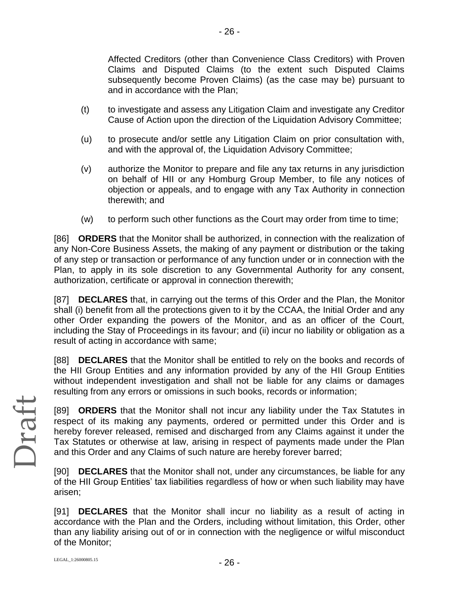Affected Creditors (other than Convenience Class Creditors) with Proven Claims and Disputed Claims (to the extent such Disputed Claims subsequently become Proven Claims) (as the case may be) pursuant to and in accordance with the Plan;

(t) to investigate and assess any Litigation Claim and investigate any Creditor Cause of Action upon the direction of the Liquidation Advisory Committee;

- 26 -

- (u) to prosecute and/or settle any Litigation Claim on prior consultation with, and with the approval of, the Liquidation Advisory Committee;
- (v) authorize the Monitor to prepare and file any tax returns in any jurisdiction on behalf of HII or any Homburg Group Member, to file any notices of objection or appeals, and to engage with any Tax Authority in connection therewith; and
- (w) to perform such other functions as the Court may order from time to time;

[86] **ORDERS** that the Monitor shall be authorized, in connection with the realization of any Non-Core Business Assets, the making of any payment or distribution or the taking of any step or transaction or performance of any function under or in connection with the Plan, to apply in its sole discretion to any Governmental Authority for any consent, authorization, certificate or approval in connection therewith;

[87] **DECLARES** that, in carrying out the terms of this Order and the Plan, the Monitor shall (i) benefit from all the protections given to it by the CCAA, the Initial Order and any other Order expanding the powers of the Monitor, and as an officer of the Court, including the Stay of Proceedings in its favour; and (ii) incur no liability or obligation as a result of acting in accordance with same;

[88] **DECLARES** that the Monitor shall be entitled to rely on the books and records of the HII Group Entities and any information provided by any of the HII Group Entities without independent investigation and shall not be liable for any claims or damages resulting from any errors or omissions in such books, records or information;

[89] **ORDERS** that the Monitor shall not incur any liability under the Tax Statutes in respect of its making any payments, ordered or permitted under this Order and is hereby forever released, remised and discharged from any Claims against it under the Tax Statutes or otherwise at law, arising in respect of payments made under the Plan and this Order and any Claims of such nature are hereby forever barred;

[90] **DECLARES** that the Monitor shall not, under any circumstances, be liable for any of the HII Group Entities' tax liabilities regardless of how or when such liability may have arisen;

[91] **DECLARES** that the Monitor shall incur no liability as a result of acting in accordance with the Plan and the Orders, including without limitation, this Order, other than any liability arising out of or in connection with the negligence or wilful misconduct of the Monitor;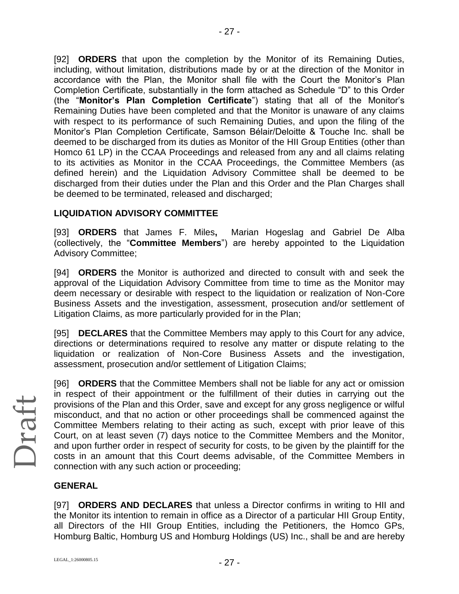[92] **ORDERS** that upon the completion by the Monitor of its Remaining Duties, including, without limitation, distributions made by or at the direction of the Monitor in accordance with the Plan, the Monitor shall file with the Court the Monitor's Plan Completion Certificate, substantially in the form attached as Schedule "D" to this Order (the "**Monitor's Plan Completion Certificate**") stating that all of the Monitor's Remaining Duties have been completed and that the Monitor is unaware of any claims with respect to its performance of such Remaining Duties, and upon the filing of the Monitor's Plan Completion Certificate, Samson Bélair/Deloitte & Touche Inc. shall be deemed to be discharged from its duties as Monitor of the HII Group Entities (other than Homco 61 LP) in the CCAA Proceedings and released from any and all claims relating to its activities as Monitor in the CCAA Proceedings, the Committee Members (as defined herein) and the Liquidation Advisory Committee shall be deemed to be discharged from their duties under the Plan and this Order and the Plan Charges shall be deemed to be terminated, released and discharged;

### **LIQUIDATION ADVISORY COMMITTEE**

[93] **ORDERS** that James F. Miles**,** Marian Hogeslag and Gabriel De Alba (collectively, the "**Committee Members**") are hereby appointed to the Liquidation Advisory Committee;

[94] **ORDERS** the Monitor is authorized and directed to consult with and seek the approval of the Liquidation Advisory Committee from time to time as the Monitor may deem necessary or desirable with respect to the liquidation or realization of Non-Core Business Assets and the investigation, assessment, prosecution and/or settlement of Litigation Claims, as more particularly provided for in the Plan;

[95] **DECLARES** that the Committee Members may apply to this Court for any advice, directions or determinations required to resolve any matter or dispute relating to the liquidation or realization of Non-Core Business Assets and the investigation, assessment, prosecution and/or settlement of Litigation Claims;

Draft

[96] **ORDERS** that the Committee Members shall not be liable for any act or omission in respect of their appointment or the fulfillment of their duties in carrying out the provisions of the Plan and this Order, save and except for any gross negligence or wilful misconduct, and that no action or other proceedings shall be commenced against the Committee Members relating to their acting as such, except with prior leave of this Court, on at least seven (7) days notice to the Committee Members and the Monitor, and upon further order in respect of security for costs, to be given by the plaintiff for the costs in an amount that this Court deems advisable, of the Committee Members in connection with any such action or proceeding;

### **GENERAL**

[97] **ORDERS AND DECLARES** that unless a Director confirms in writing to HII and the Monitor its intention to remain in office as a Director of a particular HII Group Entity, all Directors of the HII Group Entities, including the Petitioners, the Homco GPs, Homburg Baltic, Homburg US and Homburg Holdings (US) Inc., shall be and are hereby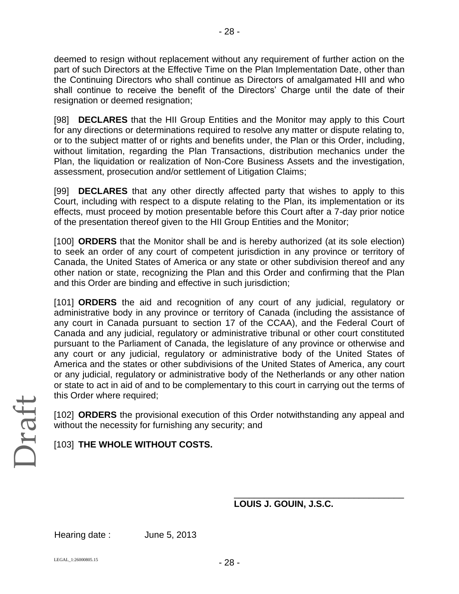deemed to resign without replacement without any requirement of further action on the part of such Directors at the Effective Time on the Plan Implementation Date, other than the Continuing Directors who shall continue as Directors of amalgamated HII and who shall continue to receive the benefit of the Directors' Charge until the date of their resignation or deemed resignation;

- 28 -

[98] **DECLARES** that the HII Group Entities and the Monitor may apply to this Court for any directions or determinations required to resolve any matter or dispute relating to, or to the subject matter of or rights and benefits under, the Plan or this Order, including, without limitation, regarding the Plan Transactions, distribution mechanics under the Plan, the liquidation or realization of Non-Core Business Assets and the investigation, assessment, prosecution and/or settlement of Litigation Claims;

[99] **DECLARES** that any other directly affected party that wishes to apply to this Court, including with respect to a dispute relating to the Plan, its implementation or its effects, must proceed by motion presentable before this Court after a 7-day prior notice of the presentation thereof given to the HII Group Entities and the Monitor;

[100] **ORDERS** that the Monitor shall be and is hereby authorized (at its sole election) to seek an order of any court of competent jurisdiction in any province or territory of Canada, the United States of America or any state or other subdivision thereof and any other nation or state, recognizing the Plan and this Order and confirming that the Plan and this Order are binding and effective in such jurisdiction;

[101] **ORDERS** the aid and recognition of any court of any judicial, regulatory or administrative body in any province or territory of Canada (including the assistance of any court in Canada pursuant to section 17 of the CCAA), and the Federal Court of Canada and any judicial, regulatory or administrative tribunal or other court constituted pursuant to the Parliament of Canada, the legislature of any province or otherwise and any court or any judicial, regulatory or administrative body of the United States of America and the states or other subdivisions of the United States of America, any court or any judicial, regulatory or administrative body of the Netherlands or any other nation or state to act in aid of and to be complementary to this court in carrying out the terms of this Order where required;

[102] **ORDERS** the provisional execution of this Order notwithstanding any appeal and without the necessity for furnishing any security; and

# [103] **THE WHOLE WITHOUT COSTS.**

### **LOUIS J. GOUIN, J.S.C.**

\_\_\_\_\_\_\_\_\_\_\_\_\_\_\_\_\_\_\_\_\_\_\_\_\_\_\_\_\_\_\_\_\_\_

Hearing date : June 5, 2013

Draft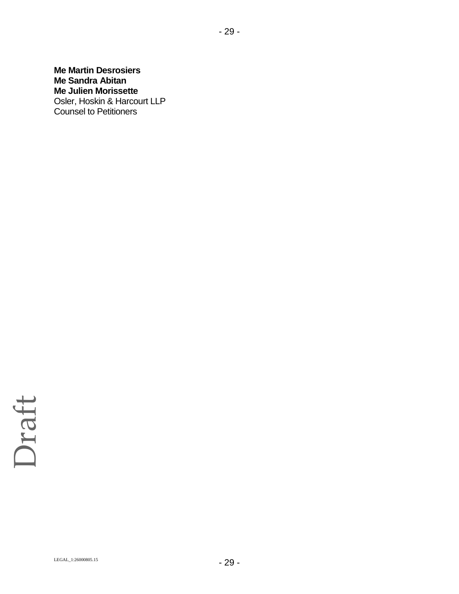**Me Martin Desrosiers Me Sandra Abitan Me Julien Morissette** Osler, Hoskin & Harcourt LLP Counsel to Petitioners

- 29 -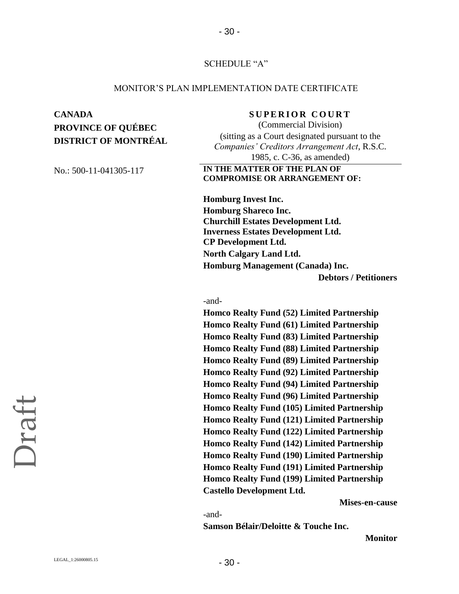### SCHEDULE "A"

- 30 -

### MONITOR'S PLAN IMPLEMENTATION DATE CERTIFICATE

# **CANADA SUPERIOR COURT PROVINCE OF QUÉBEC DISTRICT OF MONTRÉAL**

(Commercial Division) (sitting as a Court designated pursuant to the *Companies' Creditors Arrangement Act*, R.S.C. 1985, c. C-36, as amended)

### No.: 500-11-041305-117 **IN THE MATTER OF THE PLAN OF COMPROMISE OR ARRANGEMENT OF:**

**Homburg Invest Inc. Homburg Shareco Inc. Churchill Estates Development Ltd. Inverness Estates Development Ltd. CP Development Ltd. North Calgary Land Ltd. Homburg Management (Canada) Inc. Debtors / Petitioners**

### -and-

**Homco Realty Fund (52) Limited Partnership Homco Realty Fund (61) Limited Partnership Homco Realty Fund (83) Limited Partnership Homco Realty Fund (88) Limited Partnership Homco Realty Fund (89) Limited Partnership Homco Realty Fund (92) Limited Partnership Homco Realty Fund (94) Limited Partnership Homco Realty Fund (96) Limited Partnership Homco Realty Fund (105) Limited Partnership Homco Realty Fund (121) Limited Partnership Homco Realty Fund (122) Limited Partnership Homco Realty Fund (142) Limited Partnership Homco Realty Fund (190) Limited Partnership Homco Realty Fund (191) Limited Partnership Homco Realty Fund (199) Limited Partnership Castello Development Ltd.**

**Mises-en-cause** 

-and-

**Samson Bélair/Deloitte & Touche Inc.** 

**Monitor**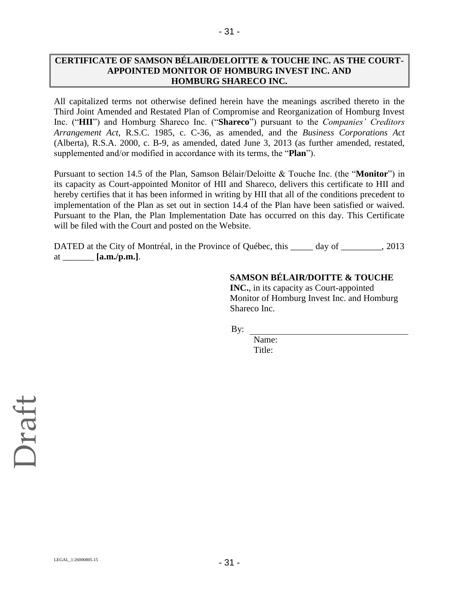### **CERTIFICATE OF SAMSON BÉLAIR/DELOITTE & TOUCHE INC. AS THE COURT-APPOINTED MONITOR OF HOMBURG INVEST INC. AND HOMBURG SHARECO INC.**

- 31 -

All capitalized terms not otherwise defined herein have the meanings ascribed thereto in the Third Joint Amended and Restated Plan of Compromise and Reorganization of Homburg Invest Inc. ("**HII**") and Homburg Shareco Inc. ("**Shareco**") pursuant to the *Companies' Creditors Arrangement Act*, R.S.C. 1985, c. C-36, as amended, and the *Business Corporations Act* (Alberta), R.S.A. 2000, c. B-9, as amended, dated June 3, 2013 (as further amended, restated, supplemented and/or modified in accordance with its terms, the "**Plan**").

Pursuant to section 14.5 of the Plan, Samson Bélair/Deloitte & Touche Inc. (the "**Monitor**") in its capacity as Court-appointed Monitor of HII and Shareco, delivers this certificate to HII and hereby certifies that it has been informed in writing by HII that all of the conditions precedent to implementation of the Plan as set out in section 14.4 of the Plan have been satisfied or waived. Pursuant to the Plan, the Plan Implementation Date has occurred on this day. This Certificate will be filed with the Court and posted on the Website.

DATED at the City of Montréal, in the Province of Québec, this \_\_\_\_\_\_ day of \_\_\_\_\_\_\_, 2013 at \_\_\_\_\_\_\_ **[a.m./p.m.]**.

### **SAMSON BÉLAIR/DOITTE & TOUCHE**

**INC.**, in its capacity as Court-appointed Monitor of Homburg Invest Inc. and Homburg Shareco Inc.

By:

Name: Title: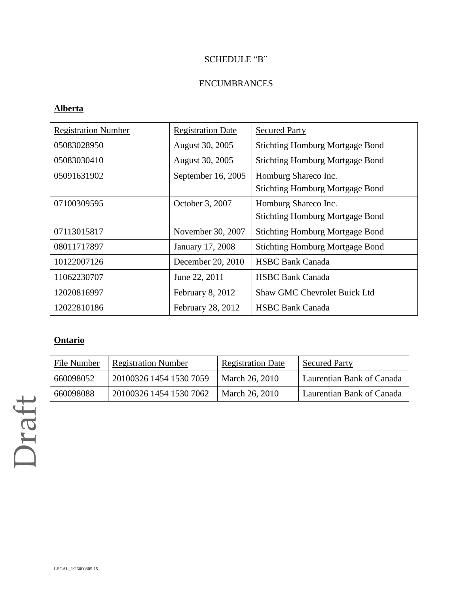# SCHEDULE "B"

### ENCUMBRANCES

### **Alberta**

| <b>Registration Number</b> | <b>Registration Date</b> | <b>Secured Party</b>                                           |
|----------------------------|--------------------------|----------------------------------------------------------------|
| 05083028950                | August 30, 2005          | <b>Stichting Homburg Mortgage Bond</b>                         |
| 05083030410                | August 30, 2005          | <b>Stichting Homburg Mortgage Bond</b>                         |
| 05091631902                | September 16, 2005       | Homburg Shareco Inc.<br><b>Stichting Homburg Mortgage Bond</b> |
| 07100309595                | October 3, 2007          | Homburg Shareco Inc.<br><b>Stichting Homburg Mortgage Bond</b> |
| 07113015817                | November 30, 2007        | <b>Stichting Homburg Mortgage Bond</b>                         |
| 08011717897                | January 17, 2008         | <b>Stichting Homburg Mortgage Bond</b>                         |
| 10122007126                | December 20, 2010        | <b>HSBC Bank Canada</b>                                        |
| 11062230707                | June 22, 2011            | <b>HSBC Bank Canada</b>                                        |
| 12020816997                | February 8, 2012         | <b>Shaw GMC Chevrolet Buick Ltd</b>                            |
| 12022810186                | February 28, 2012        | <b>HSBC Bank Canada</b>                                        |

# **Ontario**

| File Number | <b>Registration Number</b> | Registration Date | <b>Secured Party</b>      |
|-------------|----------------------------|-------------------|---------------------------|
| 660098052   | 20100326 1454 1530 7059    | March 26, 2010    | Laurentian Bank of Canada |
| 660098088   | 20100326 1454 1530 7062    | March 26, 2010    | Laurentian Bank of Canada |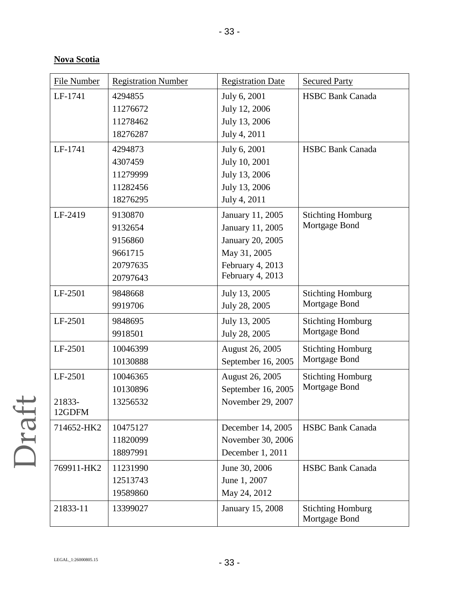# **Nova Scotia**

| <b>File Number</b> | <b>Registration Number</b> | <b>Registration Date</b> | <b>Secured Party</b>                      |
|--------------------|----------------------------|--------------------------|-------------------------------------------|
| LF-1741            | 4294855                    | July 6, 2001             | <b>HSBC Bank Canada</b>                   |
|                    | 11276672                   | July 12, 2006            |                                           |
|                    | 11278462                   | July 13, 2006            |                                           |
|                    | 18276287                   | July 4, 2011             |                                           |
| LF-1741            | 4294873                    | July 6, 2001             | <b>HSBC Bank Canada</b>                   |
|                    | 4307459                    | July 10, 2001            |                                           |
|                    | 11279999                   | July 13, 2006            |                                           |
|                    | 11282456                   | July 13, 2006            |                                           |
|                    | 18276295                   | July 4, 2011             |                                           |
| LF-2419            | 9130870                    | January 11, 2005         | <b>Stichting Homburg</b>                  |
|                    | 9132654                    | January 11, 2005         | Mortgage Bond                             |
|                    | 9156860                    | January 20, 2005         |                                           |
|                    | 9661715                    | May 31, 2005             |                                           |
|                    | 20797635                   | February 4, 2013         |                                           |
|                    | 20797643                   | February 4, 2013         |                                           |
| LF-2501            | 9848668                    | July 13, 2005            | <b>Stichting Homburg</b>                  |
|                    | 9919706                    | July 28, 2005            | Mortgage Bond                             |
| LF-2501            | 9848695                    | July 13, 2005            | <b>Stichting Homburg</b>                  |
|                    | 9918501                    | July 28, 2005            | Mortgage Bond                             |
| LF-2501            | 10046399                   | August 26, 2005          | <b>Stichting Homburg</b>                  |
|                    | 10130888                   | September 16, 2005       | Mortgage Bond                             |
| LF-2501            | 10046365                   | August 26, 2005          | <b>Stichting Homburg</b>                  |
|                    | 10130896                   | September 16, 2005       | Mortgage Bond                             |
| 21833-             | 13256532                   | November 29, 2007        |                                           |
| 12GDFM             |                            |                          |                                           |
| 714652-HK2         | 10475127                   | December 14, 2005        | <b>HSBC Bank Canada</b>                   |
|                    | 11820099                   | November 30, 2006        |                                           |
|                    | 18897991                   | December 1, 2011         |                                           |
| 769911-HK2         | 11231990                   | June 30, 2006            | <b>HSBC Bank Canada</b>                   |
|                    | 12513743                   | June 1, 2007             |                                           |
|                    | 19589860                   | May 24, 2012             |                                           |
| 21833-11           | 13399027                   | January 15, 2008         | <b>Stichting Homburg</b><br>Mortgage Bond |

Draft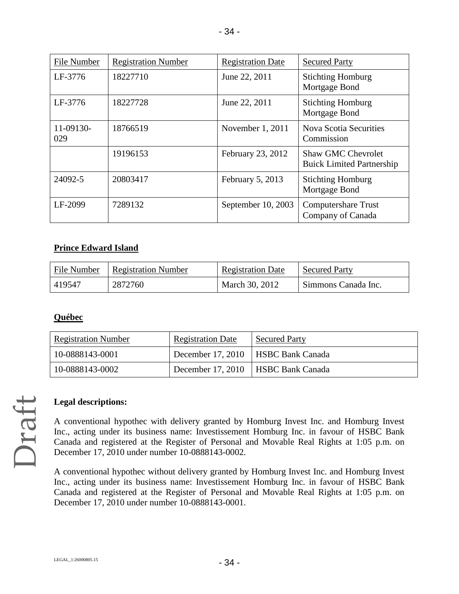| File Number      | <b>Registration Number</b> | <b>Registration Date</b> | <b>Secured Party</b>                                          |
|------------------|----------------------------|--------------------------|---------------------------------------------------------------|
| LF-3776          | 18227710                   | June 22, 2011            | <b>Stichting Homburg</b><br>Mortgage Bond                     |
| LF-3776          | 18227728                   | June 22, 2011            | <b>Stichting Homburg</b><br>Mortgage Bond                     |
| 11-09130-<br>029 | 18766519                   | November 1, 2011         | <b>Nova Scotia Securities</b><br>Commission                   |
|                  | 19196153                   | February 23, 2012        | <b>Shaw GMC Chevrolet</b><br><b>Buick Limited Partnership</b> |
| 24092-5          | 20803417                   | February 5, 2013         | <b>Stichting Homburg</b><br>Mortgage Bond                     |
| LF-2099          | 7289132                    | September 10, 2003       | Computershare Trust<br>Company of Canada                      |

### **Prince Edward Island**

| File Number | <b>Registration Number</b> | <b>Registration Date</b> | <b>Secured Party</b> |
|-------------|----------------------------|--------------------------|----------------------|
| 419547      | 2872760                    | March 30, 2012           | Simmons Canada Inc.  |

### **Québec**

| <b>Registration Number</b> | <b>Registration Date</b> | <b>Secured Party</b>                 |
|----------------------------|--------------------------|--------------------------------------|
| 10-0888143-0001            |                          | December 17, 2010   HSBC Bank Canada |
| 10-0888143-0002            |                          | December 17, 2010   HSBC Bank Canada |

# Draft

### **Legal descriptions:**

A conventional hypothec with delivery granted by Homburg Invest Inc. and Homburg Invest Inc., acting under its business name: Investissement Homburg Inc. in favour of HSBC Bank Canada and registered at the Register of Personal and Movable Real Rights at 1:05 p.m. on December 17, 2010 under number 10-0888143-0002.

A conventional hypothec without delivery granted by Homburg Invest Inc. and Homburg Invest Inc., acting under its business name: Investissement Homburg Inc. in favour of HSBC Bank Canada and registered at the Register of Personal and Movable Real Rights at 1:05 p.m. on December 17, 2010 under number 10-0888143-0001.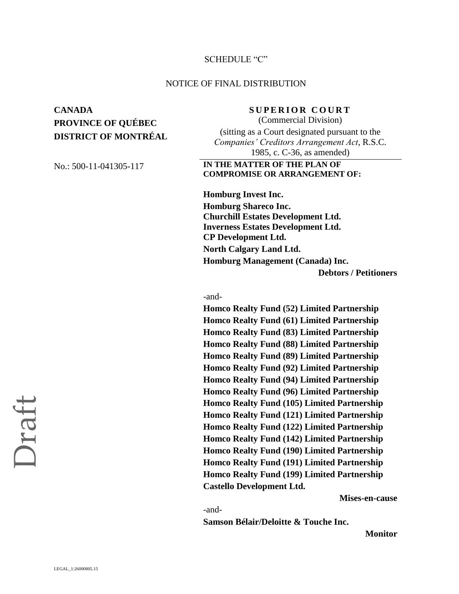### SCHEDULE "C"

### NOTICE OF FINAL DISTRIBUTION

# **CANADA SUPERIOR COURT PROVINCE OF QUÉBEC DISTRICT OF MONTRÉAL**

(Commercial Division) (sitting as a Court designated pursuant to the *Companies' Creditors Arrangement Act*, R.S.C. 1985, c. C-36, as amended)

### No.: 500-11-041305-117 **IN THE MATTER OF THE PLAN OF COMPROMISE OR ARRANGEMENT OF:**

**Homburg Invest Inc. Homburg Shareco Inc. Churchill Estates Development Ltd. Inverness Estates Development Ltd. CP Development Ltd. North Calgary Land Ltd. Homburg Management (Canada) Inc. Debtors / Petitioners**

### -and-

**Homco Realty Fund (52) Limited Partnership Homco Realty Fund (61) Limited Partnership Homco Realty Fund (83) Limited Partnership Homco Realty Fund (88) Limited Partnership Homco Realty Fund (89) Limited Partnership Homco Realty Fund (92) Limited Partnership Homco Realty Fund (94) Limited Partnership Homco Realty Fund (96) Limited Partnership Homco Realty Fund (105) Limited Partnership Homco Realty Fund (121) Limited Partnership Homco Realty Fund (122) Limited Partnership Homco Realty Fund (142) Limited Partnership Homco Realty Fund (190) Limited Partnership Homco Realty Fund (191) Limited Partnership Homco Realty Fund (199) Limited Partnership Castello Development Ltd.**

**Mises-en-cause** 

-and-

**Samson Bélair/Deloitte & Touche Inc.** 

**Monitor**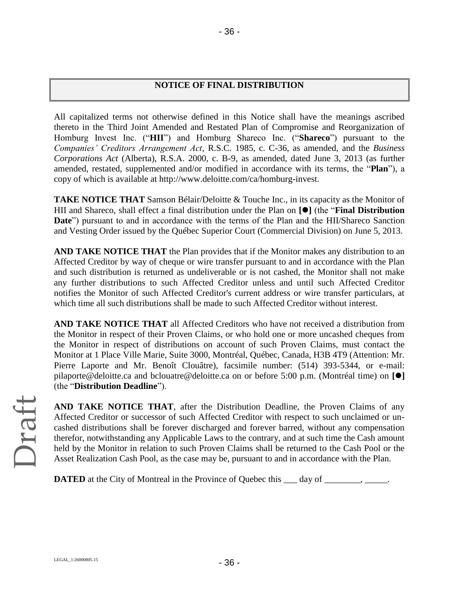### **NOTICE OF FINAL DISTRIBUTION**

All capitalized terms not otherwise defined in this Notice shall have the meanings ascribed thereto in the Third Joint Amended and Restated Plan of Compromise and Reorganization of Homburg Invest Inc. ("**HII**") and Homburg Shareco Inc. ("**Shareco**") pursuant to the *Companies' Creditors Arrangement Act*, R.S.C. 1985, c. C-36, as amended, and the *Business Corporations Act* (Alberta), R.S.A. 2000, c. B-9, as amended, dated June 3, 2013 (as further amended, restated, supplemented and/or modified in accordance with its terms, the "**Plan**"), a copy of which is available at http://www.deloitte.com/ca/homburg-invest.

**TAKE NOTICE THAT** Samson Bélair/Deloitte & Touche Inc., in its capacity as the Monitor of HII and Shareco, shall effect a final distribution under the Plan on **[]** (the "**Final Distribution Date**") pursuant to and in accordance with the terms of the Plan and the HII/Shareco Sanction and Vesting Order issued by the Québec Superior Court (Commercial Division) on June 5, 2013.

**AND TAKE NOTICE THAT** the Plan provides that if the Monitor makes any distribution to an Affected Creditor by way of cheque or wire transfer pursuant to and in accordance with the Plan and such distribution is returned as undeliverable or is not cashed, the Monitor shall not make any further distributions to such Affected Creditor unless and until such Affected Creditor notifies the Monitor of such Affected Creditor's current address or wire transfer particulars, at which time all such distributions shall be made to such Affected Creditor without interest.

**AND TAKE NOTICE THAT** all Affected Creditors who have not received a distribution from the Monitor in respect of their Proven Claims, or who hold one or more uncashed cheques from the Monitor in respect of distributions on account of such Proven Claims, must contact the Monitor at 1 Place Ville Marie, Suite 3000, Montréal, Québec, Canada, H3B 4T9 (Attention: Mr. Pierre Laporte and Mr. Benoît Clouâtre), facsimile number: (514) 393-5344, or e-mail: pilaporte@deloitte.ca and bclouatre@deloitte.ca on or before 5:00 p.m. (Montréal time) on **[]** (the "**Distribution Deadline**").

Draft

**AND TAKE NOTICE THAT**, after the Distribution Deadline, the Proven Claims of any Affected Creditor or successor of such Affected Creditor with respect to such unclaimed or uncashed distributions shall be forever discharged and forever barred, without any compensation therefor, notwithstanding any Applicable Laws to the contrary, and at such time the Cash amount held by the Monitor in relation to such Proven Claims shall be returned to the Cash Pool or the Asset Realization Cash Pool, as the case may be, pursuant to and in accordance with the Plan.

**DATED** at the City of Montreal in the Province of Quebec this \_\_\_ day of \_\_\_\_\_\_\_, \_\_\_\_\_.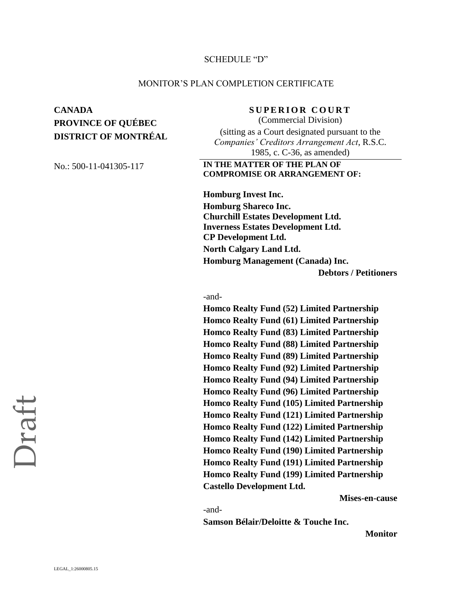### SCHEDULE "D"

### MONITOR'S PLAN COMPLETION CERTIFICATE

# **CANADA SUPERIOR COURT PROVINCE OF QUÉBEC DISTRICT OF MONTRÉAL**

(Commercial Division) (sitting as a Court designated pursuant to the *Companies' Creditors Arrangement Act*, R.S.C. 1985, c. C-36, as amended)

No.: 500-11-041305-117 **IN THE MATTER OF THE PLAN OF COMPROMISE OR ARRANGEMENT OF:**

> **Homburg Invest Inc. Homburg Shareco Inc. Churchill Estates Development Ltd. Inverness Estates Development Ltd. CP Development Ltd. North Calgary Land Ltd. Homburg Management (Canada) Inc. Debtors / Petitioners**

### -and-

**Homco Realty Fund (52) Limited Partnership Homco Realty Fund (61) Limited Partnership Homco Realty Fund (83) Limited Partnership Homco Realty Fund (88) Limited Partnership Homco Realty Fund (89) Limited Partnership Homco Realty Fund (92) Limited Partnership Homco Realty Fund (94) Limited Partnership Homco Realty Fund (96) Limited Partnership Homco Realty Fund (105) Limited Partnership Homco Realty Fund (121) Limited Partnership Homco Realty Fund (122) Limited Partnership Homco Realty Fund (142) Limited Partnership Homco Realty Fund (190) Limited Partnership Homco Realty Fund (191) Limited Partnership Homco Realty Fund (199) Limited Partnership Castello Development Ltd.**

**Mises-en-cause** 

-and-

**Samson Bélair/Deloitte & Touche Inc.** 

**Monitor**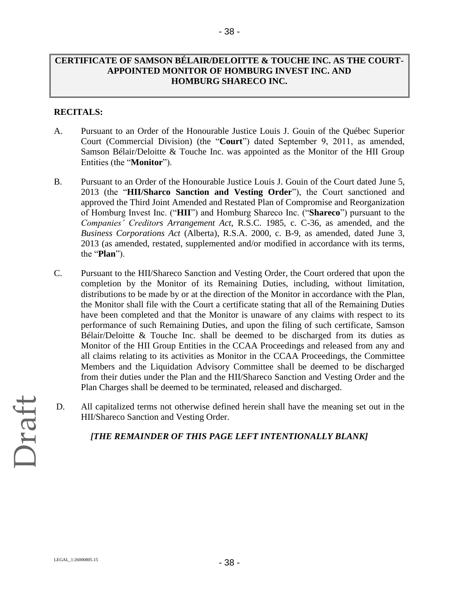### **CERTIFICATE OF SAMSON BÉLAIR/DELOITTE & TOUCHE INC. AS THE COURT-APPOINTED MONITOR OF HOMBURG INVEST INC. AND HOMBURG SHARECO INC.**

### **RECITALS:**

- A. Pursuant to an Order of the Honourable Justice Louis J. Gouin of the Québec Superior Court (Commercial Division) (the "**Court**") dated September 9, 2011, as amended, Samson Bélair/Deloitte & Touche Inc. was appointed as the Monitor of the HII Group Entities (the "**Monitor**").
- B. Pursuant to an Order of the Honourable Justice Louis J. Gouin of the Court dated June 5, 2013 (the "**HII/Sharco Sanction and Vesting Order**"), the Court sanctioned and approved the Third Joint Amended and Restated Plan of Compromise and Reorganization of Homburg Invest Inc. ("**HII**") and Homburg Shareco Inc. ("**Shareco**") pursuant to the *Companies' Creditors Arrangement Act*, R.S.C. 1985, c. C-36, as amended, and the *Business Corporations Act* (Alberta), R.S.A. 2000, c. B-9, as amended, dated June 3, 2013 (as amended, restated, supplemented and/or modified in accordance with its terms, the "**Plan**").
- C. Pursuant to the HII/Shareco Sanction and Vesting Order, the Court ordered that upon the completion by the Monitor of its Remaining Duties, including, without limitation, distributions to be made by or at the direction of the Monitor in accordance with the Plan, the Monitor shall file with the Court a certificate stating that all of the Remaining Duties have been completed and that the Monitor is unaware of any claims with respect to its performance of such Remaining Duties, and upon the filing of such certificate, Samson Bélair/Deloitte & Touche Inc. shall be deemed to be discharged from its duties as Monitor of the HII Group Entities in the CCAA Proceedings and released from any and all claims relating to its activities as Monitor in the CCAA Proceedings, the Committee Members and the Liquidation Advisory Committee shall be deemed to be discharged from their duties under the Plan and the HII/Shareco Sanction and Vesting Order and the Plan Charges shall be deemed to be terminated, released and discharged.
- D. All capitalized terms not otherwise defined herein shall have the meaning set out in the HII/Shareco Sanction and Vesting Order.

### *[THE REMAINDER OF THIS PAGE LEFT INTENTIONALLY BLANK]*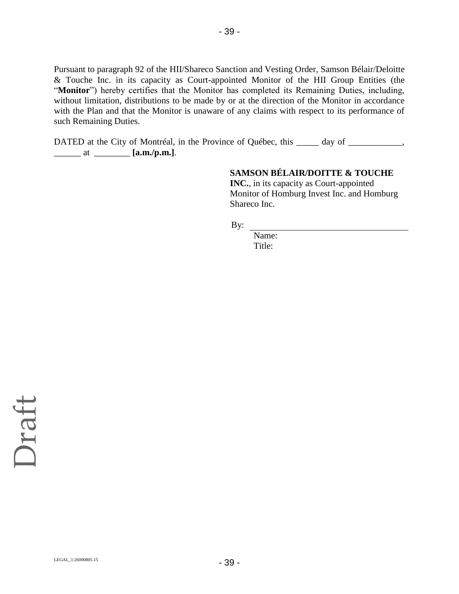Pursuant to paragraph 92 of the HII/Shareco Sanction and Vesting Order, Samson Bélair/Deloitte & Touche Inc. in its capacity as Court-appointed Monitor of the HII Group Entities (the "Monitor") hereby certifies that the Monitor has completed its Remaining Duties, including, without limitation, distributions to be made by or at the direction of the Monitor in accordance with the Plan and that the Monitor is unaware of any claims with respect to its performance of such Remaining Duties.

- 39 -

DATED at the City of Montréal, in the Province of Québec, this \_\_\_\_\_ day of \_\_\_\_\_\_\_\_\_\_, \_\_\_\_\_\_ at \_\_\_\_\_\_\_\_ **[a.m./p.m.]**.

# **SAMSON BÉLAIR/DOITTE & TOUCHE**

**INC.**, in its capacity as Court-appointed Monitor of Homburg Invest Inc. and Homburg Shareco Inc.

By:

Name: Title: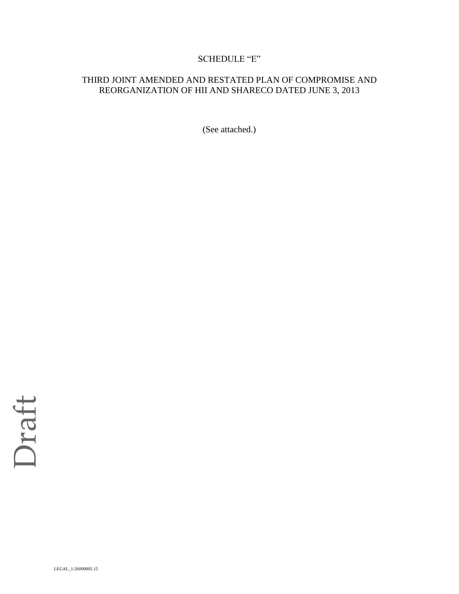### SCHEDULE "E"

### THIRD JOINT AMENDED AND RESTATED PLAN OF COMPROMISE AND REORGANIZATION OF HII AND SHARECO DATED JUNE 3, 2013

(See attached.)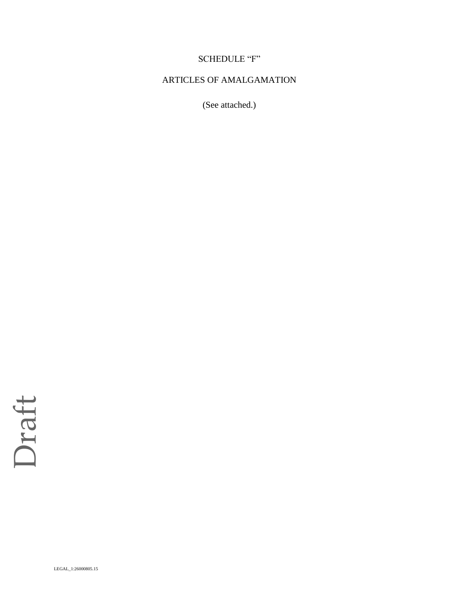# SCHEDULE "F"

### ARTICLES OF AMALGAMATION

(See attached.)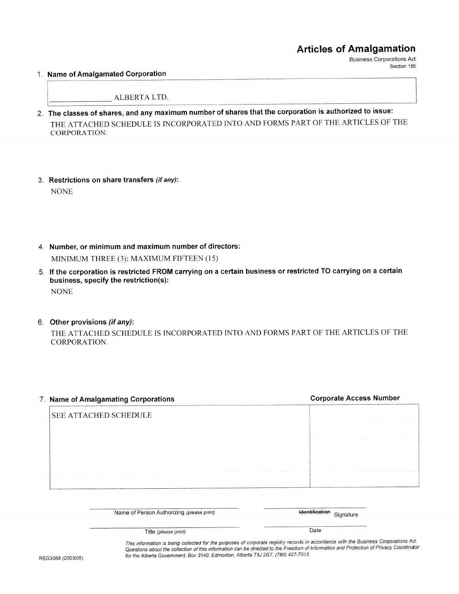### **Articles of Amalgamation**

**Business Corporations Act** Section 185

### 1. Name of Amalgamated Corporation

ALBERTA LTD.

- 2. The classes of shares, and any maximum number of shares that the corporation is authorized to issue: THE ATTACHED SCHEDULE IS INCORPORATED INTO AND FORMS PART OF THE ARTICLES OF THE CORPORATION.
- 3. Restrictions on share transfers (if any): **NONE**
- 4. Number, or minimum and maximum number of directors: MINIMUM THREE (3); MAXIMUM FIFTEEN (15)
- 5. If the corporation is restricted FROM carrying on a certain business or restricted TO carrying on a certain business, specify the restriction(s): **NONE**
- 6. Other provisions (if any):

THE ATTACHED SCHEDULE IS INCORPORATED INTO AND FORMS PART OF THE ARTICLES OF THE CORPORATION.

# **Corporate Access Number** 7. Name of Amalgamating Corporations SEE ATTACHED SCHEDULE

Hentification Signature Name of Person Authorizing (please print) Date Title (please print)

> This information is being collected for the purposes of corporate registry records in accordance with the Business Corporations Act. Questions about the collection of this information can be directed to the Freedom of Information and Protection of Privacy Coordinator for the Alberta Government, Box 3140, Edmonton, Alberta T5J 2G7, (780) 427-7013.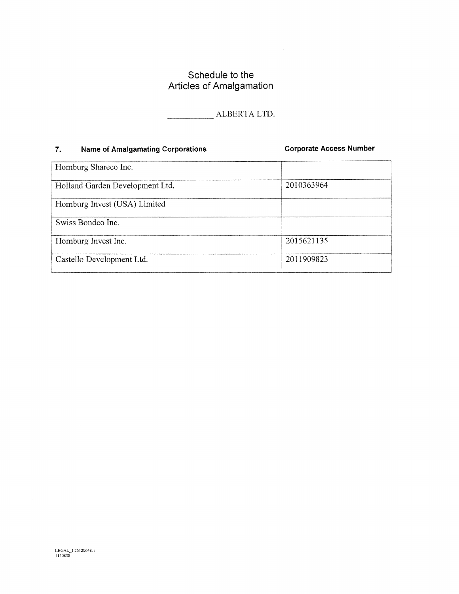### Schedule to the Articles of Amalgamation

ALBERTA LTD.

### **Name of Amalgamating Corporations**  $7.$

**Corporate Access Number** 

| Homburg Shareco Inc.            |            |
|---------------------------------|------------|
| Holland Garden Development Ltd. | 2010363964 |
| Homburg Invest (USA) Limited    |            |
| Swiss Bondco Inc.               |            |
| Homburg Invest Inc.             | 2015621135 |
| Castello Development Ltd.       | 2011909823 |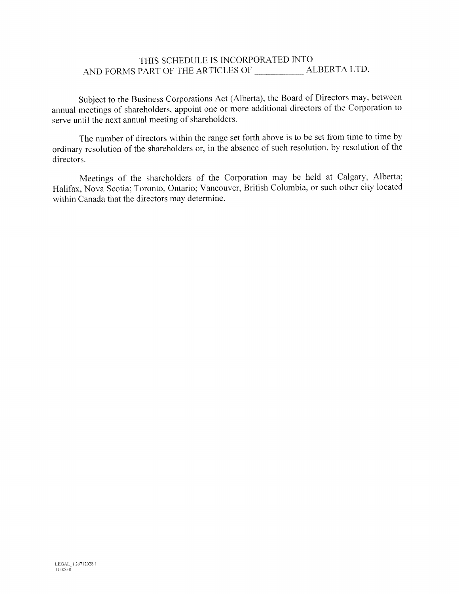### THIS SCHEDULE IS INCORPORATED INTO

Subject to the Business Corporations Act (Alberta), the Board of Directors may, between annual meetings of shareholders, appoint one or more additional directors of the Corporation to serve until the next annual meeting of shareholders.

The number of directors within the range set forth above is to be set from time to time by ordinary resolution of the shareholders or, in the absence of such resolution, by resolution of the directors.

Meetings of the shareholders of the Corporation may be held at Calgary, Alberta; Halifax, Nova Scotia; Toronto, Ontario; Vancouver, British Columbia, or such other city located within Canada that the directors may determine.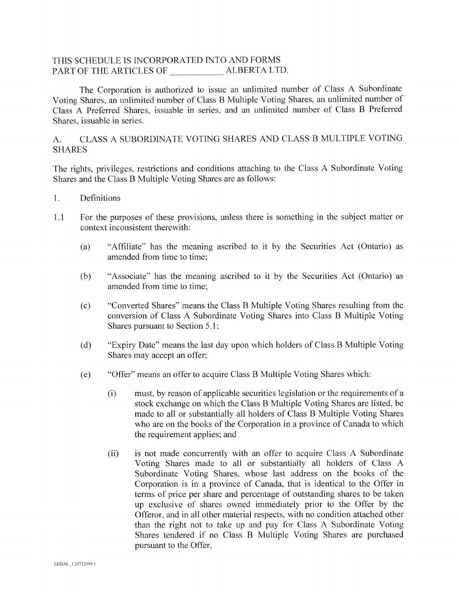### THIS SCHEDULE IS INCORPORATED INTO AND FORMS PART OF THE ARTICLES OF ALBERTA LTD.

The Corporation is authorized to issue an unlimited number of Class A Subordinate Voting Shares, an unlimited number of Class B Multiple Voting Shares, an unlimited number of Class A Preferred Shares, issuable in series, and an unlimited number of Class B Preferred Shares, issuable in series.

### CLASS A SUBORDINATE VOTING SHARES AND CLASS B MULTIPLE VOTING  $A<sub>1</sub>$ **SHARES**

The rights, privileges, restrictions and conditions attaching to the Class A Subordinate Voting Shares and the Class B Multiple Voting Shares are as follows:

- Definitions  $\overline{1}$ .
- For the purposes of these provisions, unless there is something in the subject matter or  $1.1$ context inconsistent therewith:
	- "Affiliate" has the meaning ascribed to it by the Securities Act (Ontario) as  $(a)$ amended from time to time:
	- $(b)$ "Associate" has the meaning ascribed to it by the Securities Act (Ontario) as amended from time to time:
	- "Converted Shares" means the Class B Multiple Voting Shares resulting from the  $(c)$ conversion of Class A Subordinate Voting Shares into Class B Multiple Voting Shares pursuant to Section 5.1;
	- "Expiry Date" means the last day upon which holders of Class B Multiple Voting  $(d)$ Shares may accept an offer;
	- "Offer" means an offer to acquire Class B Multiple Voting Shares which:  $(e)$ 
		- must, by reason of applicable securities legislation or the requirements of a  $(i)$ stock exchange on which the Class B Multiple Voting Shares are listed, be made to all or substantially all holders of Class B Multiple Voting Shares who are on the books of the Corporation in a province of Canada to which the requirement applies; and
		- $(ii)$ is not made concurrently with an offer to acquire Class A Subordinate Voting Shares made to all or substantially all holders of Class A Subordinate Voting Shares, whose last address on the books of the Corporation is in a province of Canada, that is identical to the Offer in terms of price per share and percentage of outstanding shares to be taken up exclusive of shares owned immediately prior to the Offer by the Offeror, and in all other material respects, with no condition attached other than the right not to take up and pay for Class A Subordinate Voting Shares tendered if no Class B Multiple Voting Shares are purchased pursuant to the Offer,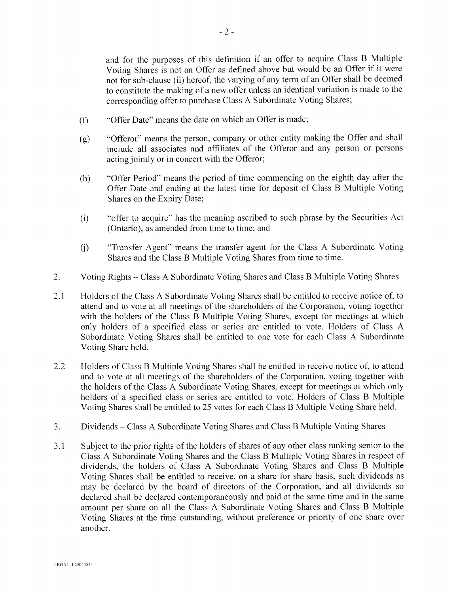and for the purposes of this definition if an offer to acquire Class B Multiple Voting Shares is not an Offer as defined above but would be an Offer if it were not for sub-clause (ii) hereof, the varying of any term of an Offer shall be deemed to constitute the making of a new offer unless an identical variation is made to the corresponding offer to purchase Class A Subordinate Voting Shares;

- "Offer Date" means the date on which an Offer is made;  $(f)$
- "Offeror" means the person, company or other entity making the Offer and shall  $(g)$ include all associates and affiliates of the Offeror and any person or persons acting jointly or in concert with the Offeror;
- "Offer Period" means the period of time commencing on the eighth day after the  $(h)$ Offer Date and ending at the latest time for deposit of Class B Multiple Voting Shares on the Expiry Date;
- "offer to acquire" has the meaning ascribed to such phrase by the Securities Act  $(i)$ (Ontario), as amended from time to time; and
- "Transfer Agent" means the transfer agent for the Class A Subordinate Voting  $(i)$ Shares and the Class B Multiple Voting Shares from time to time.
- $2.$ Voting Rights – Class A Subordinate Voting Shares and Class B Multiple Voting Shares
- Holders of the Class A Subordinate Voting Shares shall be entitled to receive notice of, to 2.1 attend and to vote at all meetings of the shareholders of the Corporation, voting together with the holders of the Class B Multiple Voting Shares, except for meetings at which only holders of a specified class or series are entitled to vote. Holders of Class A Subordinate Voting Shares shall be entitled to one vote for each Class A Subordinate Voting Share held.
- 2.2 Holders of Class B Multiple Voting Shares shall be entitled to receive notice of, to attend and to vote at all meetings of the shareholders of the Corporation, voting together with the holders of the Class A Subordinate Voting Shares, except for meetings at which only holders of a specified class or series are entitled to vote. Holders of Class B Multiple Voting Shares shall be entitled to 25 votes for each Class B Multiple Voting Share held.
- Dividends Class A Subordinate Voting Shares and Class B Multiple Voting Shares 3.
- Subject to the prior rights of the holders of shares of any other class ranking senior to the  $3.1$ Class A Subordinate Voting Shares and the Class B Multiple Voting Shares in respect of dividends, the holders of Class A Subordinate Voting Shares and Class B Multiple Voting Shares shall be entitled to receive, on a share for share basis, such dividends as may be declared by the board of directors of the Corporation, and all dividends so declared shall be declared contemporaneously and paid at the same time and in the same amount per share on all the Class A Subordinate Voting Shares and Class B Multiple Voting Shares at the time outstanding, without preference or priority of one share over another.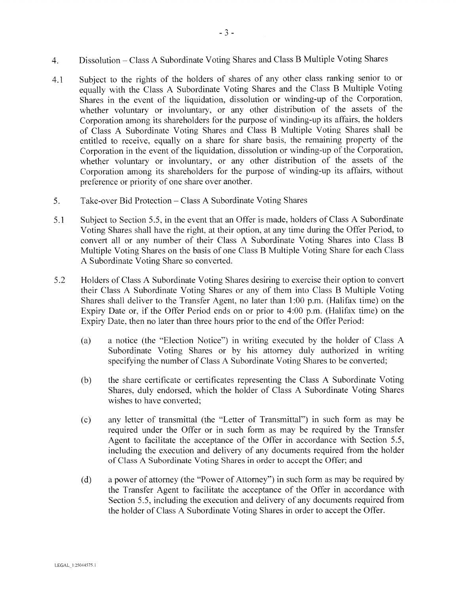- Dissolution Class A Subordinate Voting Shares and Class B Multiple Voting Shares  $\overline{4}$ .
- Subject to the rights of the holders of shares of any other class ranking senior to or  $4.1$ equally with the Class A Subordinate Voting Shares and the Class B Multiple Voting Shares in the event of the liquidation, dissolution or winding-up of the Corporation, whether voluntary or involuntary, or any other distribution of the assets of the Corporation among its shareholders for the purpose of winding-up its affairs, the holders of Class A Subordinate Voting Shares and Class B Multiple Voting Shares shall be entitled to receive, equally on a share for share basis, the remaining property of the Corporation in the event of the liquidation, dissolution or winding-up of the Corporation, whether voluntary or involuntary, or any other distribution of the assets of the Corporation among its shareholders for the purpose of winding-up its affairs, without preference or priority of one share over another.
- Take-over Bid Protection Class A Subordinate Voting Shares 5.
- $5.1$ Subject to Section 5.5, in the event that an Offer is made, holders of Class A Subordinate Voting Shares shall have the right, at their option, at any time during the Offer Period, to convert all or any number of their Class A Subordinate Voting Shares into Class B Multiple Voting Shares on the basis of one Class B Multiple Voting Share for each Class A Subordinate Voting Share so converted.
- 5.2 Holders of Class A Subordinate Voting Shares desiring to exercise their option to convert their Class A Subordinate Voting Shares or any of them into Class B Multiple Voting Shares shall deliver to the Transfer Agent, no later than 1:00 p.m. (Halifax time) on the Expiry Date or, if the Offer Period ends on or prior to 4:00 p.m. (Halifax time) on the Expiry Date, then no later than three hours prior to the end of the Offer Period:
	- a notice (the "Election Notice") in writing executed by the holder of Class A  $(a)$ Subordinate Voting Shares or by his attorney duly authorized in writing specifying the number of Class A Subordinate Voting Shares to be converted;
	- $(b)$ the share certificate or certificates representing the Class A Subordinate Voting Shares, duly endorsed, which the holder of Class A Subordinate Voting Shares wishes to have converted:
	- any letter of transmittal (the "Letter of Transmittal") in such form as may be  $(c)$ required under the Offer or in such form as may be required by the Transfer Agent to facilitate the acceptance of the Offer in accordance with Section 5.5, including the execution and delivery of any documents required from the holder of Class A Subordinate Voting Shares in order to accept the Offer; and
	- a power of attorney (the "Power of Attorney") in such form as may be required by  $(d)$ the Transfer Agent to facilitate the acceptance of the Offer in accordance with Section 5.5, including the execution and delivery of any documents required from the holder of Class A Subordinate Voting Shares in order to accept the Offer.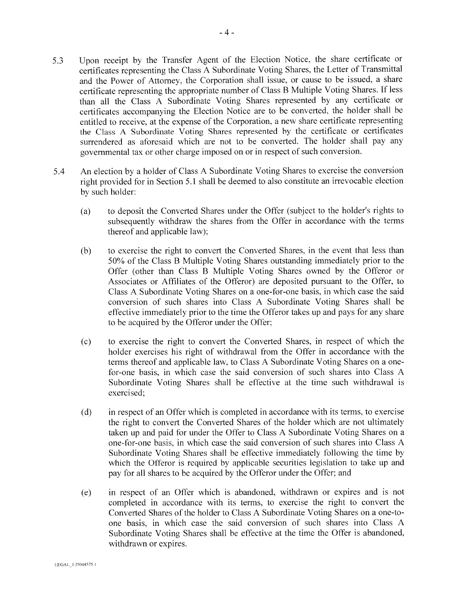- certificates accompanying the Election Notice are to be converted, the holder shall be entitled to receive, at the expense of the Corporation, a new share certificate representing the Class A Subordinate Voting Shares represented by the certificate or certificates surrendered as aforesaid which are not to be converted. The holder shall pay any governmental tax or other charge imposed on or in respect of such conversion.
- 5.4 An election by a holder of Class A Subordinate Voting Shares to exercise the conversion right provided for in Section 5.1 shall be deemed to also constitute an irrevocable election by such holder:
	- to deposit the Converted Shares under the Offer (subject to the holder's rights to  $(a)$ subsequently withdraw the shares from the Offer in accordance with the terms thereof and applicable law);
	- $(b)$ to exercise the right to convert the Converted Shares, in the event that less than 50% of the Class B Multiple Voting Shares outstanding immediately prior to the Offer (other than Class B Multiple Voting Shares owned by the Offeror or Associates or Affiliates of the Offeror) are deposited pursuant to the Offer, to Class A Subordinate Voting Shares on a one-for-one basis, in which case the said conversion of such shares into Class A Subordinate Voting Shares shall be effective immediately prior to the time the Offeror takes up and pays for any share to be acquired by the Offeror under the Offer;
	- to exercise the right to convert the Converted Shares, in respect of which the  $(c)$ holder exercises his right of withdrawal from the Offer in accordance with the terms thereof and applicable law, to Class A Subordinate Voting Shares on a onefor-one basis, in which case the said conversion of such shares into Class A Subordinate Voting Shares shall be effective at the time such withdrawal is exercised:
	- $(d)$ in respect of an Offer which is completed in accordance with its terms, to exercise the right to convert the Converted Shares of the holder which are not ultimately taken up and paid for under the Offer to Class A Subordinate Voting Shares on a one-for-one basis, in which case the said conversion of such shares into Class A Subordinate Voting Shares shall be effective immediately following the time by which the Offeror is required by applicable securities legislation to take up and pay for all shares to be acquired by the Offeror under the Offer; and
	- in respect of an Offer which is abandoned, withdrawn or expires and is not  $(e)$ completed in accordance with its terms, to exercise the right to convert the Converted Shares of the holder to Class A Subordinate Voting Shares on a one-toone basis, in which case the said conversion of such shares into Class A Subordinate Voting Shares shall be effective at the time the Offer is abandoned, withdrawn or expires.

5.3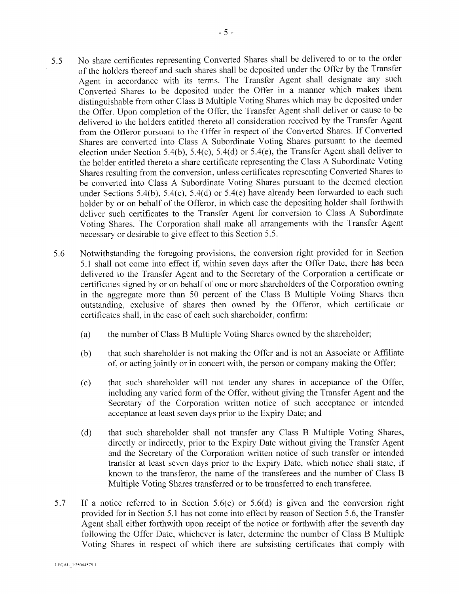- No share certificates representing Converted Shares shall be delivered to or to the order 5.5 of the holders thereof and such shares shall be deposited under the Offer by the Transfer Agent in accordance with its terms. The Transfer Agent shall designate any such Converted Shares to be deposited under the Offer in a manner which makes them distinguishable from other Class B Multiple Voting Shares which may be deposited under the Offer. Upon completion of the Offer, the Transfer Agent shall deliver or cause to be delivered to the holders entitled thereto all consideration received by the Transfer Agent from the Offeror pursuant to the Offer in respect of the Converted Shares. If Converted Shares are converted into Class A Subordinate Voting Shares pursuant to the deemed election under Section 5.4(b), 5.4(c), 5.4(d) or 5.4(e), the Transfer Agent shall deliver to the holder entitled thereto a share certificate representing the Class A Subordinate Voting Shares resulting from the conversion, unless certificates representing Converted Shares to be converted into Class A Subordinate Voting Shares pursuant to the deemed election under Sections 5.4(b), 5.4(c), 5.4(d) or 5.4(e) have already been forwarded to each such holder by or on behalf of the Offeror, in which case the depositing holder shall forthwith deliver such certificates to the Transfer Agent for conversion to Class A Subordinate Voting Shares. The Corporation shall make all arrangements with the Transfer Agent necessary or desirable to give effect to this Section 5.5.
- Notwithstanding the foregoing provisions, the conversion right provided for in Section 5.6 5.1 shall not come into effect if, within seven days after the Offer Date, there has been delivered to the Transfer Agent and to the Secretary of the Corporation a certificate or certificates signed by or on behalf of one or more shareholders of the Corporation owning in the aggregate more than 50 percent of the Class B Multiple Voting Shares then outstanding, exclusive of shares then owned by the Offeror, which certificate or certificates shall, in the case of each such shareholder, confirm:
	- the number of Class B Multiple Voting Shares owned by the shareholder;  $(a)$
	- that such shareholder is not making the Offer and is not an Associate or Affiliate  $(b)$ of, or acting jointly or in concert with, the person or company making the Offer;
	- $(c)$ that such shareholder will not tender any shares in acceptance of the Offer, including any varied form of the Offer, without giving the Transfer Agent and the Secretary of the Corporation written notice of such acceptance or intended acceptance at least seven days prior to the Expiry Date; and
	- $(d)$ that such shareholder shall not transfer any Class B Multiple Voting Shares, directly or indirectly, prior to the Expiry Date without giving the Transfer Agent and the Secretary of the Corporation written notice of such transfer or intended transfer at least seven days prior to the Expiry Date, which notice shall state, if known to the transferor, the name of the transferees and the number of Class B Multiple Voting Shares transferred or to be transferred to each transferee.
- 5.7 If a notice referred to in Section 5.6(c) or 5.6(d) is given and the conversion right provided for in Section 5.1 has not come into effect by reason of Section 5.6, the Transfer Agent shall either forthwith upon receipt of the notice or forthwith after the seventh day following the Offer Date, whichever is later, determine the number of Class B Multiple Voting Shares in respect of which there are subsisting certificates that comply with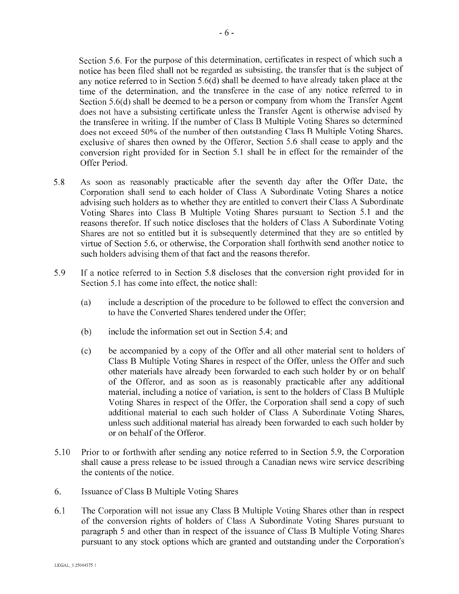Section 5.6. For the purpose of this determination, certificates in respect of which such a notice has been filed shall not be regarded as subsisting, the transfer that is the subject of any notice referred to in Section 5.6(d) shall be deemed to have already taken place at the time of the determination, and the transferee in the case of any notice referred to in Section 5.6(d) shall be deemed to be a person or company from whom the Transfer Agent does not have a subsisting certificate unless the Transfer Agent is otherwise advised by the transferee in writing. If the number of Class B Multiple Voting Shares so determined does not exceed 50% of the number of then outstanding Class B Multiple Voting Shares, exclusive of shares then owned by the Offeror, Section 5.6 shall cease to apply and the conversion right provided for in Section 5.1 shall be in effect for the remainder of the Offer Period.

- As soon as reasonably practicable after the seventh day after the Offer Date, the 5.8 Corporation shall send to each holder of Class A Subordinate Voting Shares a notice advising such holders as to whether they are entitled to convert their Class A Subordinate Voting Shares into Class B Multiple Voting Shares pursuant to Section 5.1 and the reasons therefor. If such notice discloses that the holders of Class A Subordinate Voting Shares are not so entitled but it is subsequently determined that they are so entitled by virtue of Section 5.6, or otherwise, the Corporation shall forthwith send another notice to such holders advising them of that fact and the reasons therefor.
- 5.9 If a notice referred to in Section 5.8 discloses that the conversion right provided for in Section 5.1 has come into effect, the notice shall:
	- include a description of the procedure to be followed to effect the conversion and  $(a)$ to have the Converted Shares tendered under the Offer;
	- include the information set out in Section 5.4; and  $(b)$
	- be accompanied by a copy of the Offer and all other material sent to holders of  $(c)$ Class B Multiple Voting Shares in respect of the Offer, unless the Offer and such other materials have already been forwarded to each such holder by or on behalf of the Offeror, and as soon as is reasonably practicable after any additional material, including a notice of variation, is sent to the holders of Class B Multiple Voting Shares in respect of the Offer, the Corporation shall send a copy of such additional material to each such holder of Class A Subordinate Voting Shares, unless such additional material has already been forwarded to each such holder by or on behalf of the Offeror.
- 5.10 Prior to or forthwith after sending any notice referred to in Section 5.9, the Corporation shall cause a press release to be issued through a Canadian news wire service describing the contents of the notice.
- Issuance of Class B Multiple Voting Shares 6.
- The Corporation will not issue any Class B Multiple Voting Shares other than in respect 6.1 of the conversion rights of holders of Class A Subordinate Voting Shares pursuant to paragraph 5 and other than in respect of the issuance of Class B Multiple Voting Shares pursuant to any stock options which are granted and outstanding under the Corporation's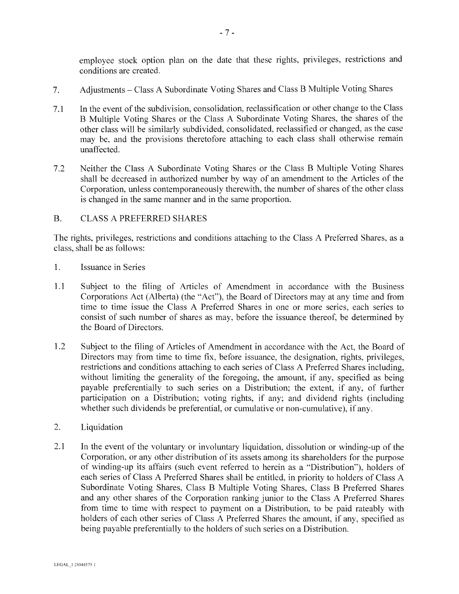employee stock option plan on the date that these rights, privileges, restrictions and conditions are created.

- Adjustments Class A Subordinate Voting Shares and Class B Multiple Voting Shares  $7<sub>1</sub>$
- In the event of the subdivision, consolidation, reclassification or other change to the Class  $7.1$ B Multiple Voting Shares or the Class A Subordinate Voting Shares, the shares of the other class will be similarly subdivided, consolidated, reclassified or changed, as the case may be, and the provisions theretofore attaching to each class shall otherwise remain unaffected.
- $7.2$ Neither the Class A Subordinate Voting Shares or the Class B Multiple Voting Shares shall be decreased in authorized number by way of an amendment to the Articles of the Corporation, unless contemporaneously therewith, the number of shares of the other class is changed in the same manner and in the same proportion.

### **B. CLASS A PREFERRED SHARES**

The rights, privileges, restrictions and conditions attaching to the Class A Preferred Shares, as a class, shall be as follows:

- $1.$ Issuance in Series
- $1.1$ Subject to the filing of Articles of Amendment in accordance with the Business Corporations Act (Alberta) (the "Act"), the Board of Directors may at any time and from time to time issue the Class A Preferred Shares in one or more series, each series to consist of such number of shares as may, before the issuance thereof, be determined by the Board of Directors.
- 1.2 Subject to the filing of Articles of Amendment in accordance with the Act, the Board of Directors may from time to time fix, before issuance, the designation, rights, privileges, restrictions and conditions attaching to each series of Class A Preferred Shares including, without limiting the generality of the foregoing, the amount, if any, specified as being payable preferentially to such series on a Distribution; the extent, if any, of further participation on a Distribution; voting rights, if any; and dividend rights (including whether such dividends be preferential, or cumulative or non-cumulative), if any.
- $2.$ Liquidation
- $2.1$ In the event of the voluntary or involuntary liquidation, dissolution or winding-up of the Corporation, or any other distribution of its assets among its shareholders for the purpose of winding-up its affairs (such event referred to herein as a "Distribution"), holders of each series of Class A Preferred Shares shall be entitled, in priority to holders of Class A Subordinate Voting Shares, Class B Multiple Voting Shares, Class B Preferred Shares and any other shares of the Corporation ranking junior to the Class A Preferred Shares from time to time with respect to payment on a Distribution, to be paid rateably with holders of each other series of Class A Preferred Shares the amount, if any, specified as being payable preferentially to the holders of such series on a Distribution.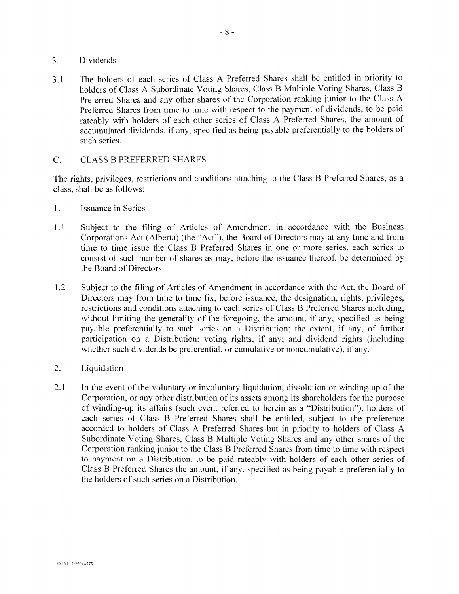- **Dividends**  $3.$
- The holders of each series of Class A Preferred Shares shall be entitled in priority to  $3.1$ holders of Class A Subordinate Voting Shares, Class B Multiple Voting Shares, Class B Preferred Shares and any other shares of the Corporation ranking junior to the Class A Preferred Shares from time to time with respect to the payment of dividends, to be paid rateably with holders of each other series of Class A Preferred Shares, the amount of accumulated dividends, if any, specified as being payable preferentially to the holders of such series.

### $C$ . **CLASS B PREFERRED SHARES**

The rights, privileges, restrictions and conditions attaching to the Class B Preferred Shares, as a class, shall be as follows:

- $1.$ **Issuance in Series**
- Subject to the filing of Articles of Amendment in accordance with the Business  $1.1$ Corporations Act (Alberta) (the "Act"), the Board of Directors may at any time and from time to time issue the Class B Preferred Shares in one or more series, each series to consist of such number of shares as may, before the issuance thereof, be determined by the Board of Directors
- $1.2$ Subject to the filing of Articles of Amendment in accordance with the Act, the Board of Directors may from time to time fix, before issuance, the designation, rights, privileges, restrictions and conditions attaching to each series of Class B Preferred Shares including, without limiting the generality of the foregoing, the amount, if any, specified as being payable preferentially to such series on a Distribution; the extent, if any, of further participation on a Distribution; voting rights, if any; and dividend rights (including whether such dividends be preferential, or cumulative or noncumulative), if any.
- $2.$ Liquidation
- 2.1 In the event of the voluntary or involuntary liquidation, dissolution or winding-up of the Corporation, or any other distribution of its assets among its shareholders for the purpose of winding-up its affairs (such event referred to herein as a "Distribution"), holders of each series of Class B Preferred Shares shall be entitled, subject to the preference accorded to holders of Class A Preferred Shares but in priority to holders of Class A Subordinate Voting Shares, Class B Multiple Voting Shares and any other shares of the Corporation ranking junior to the Class B Preferred Shares from time to time with respect to payment on a Distribution, to be paid rateably with holders of each other series of Class B Preferred Shares the amount, if any, specified as being payable preferentially to the holders of such series on a Distribution.